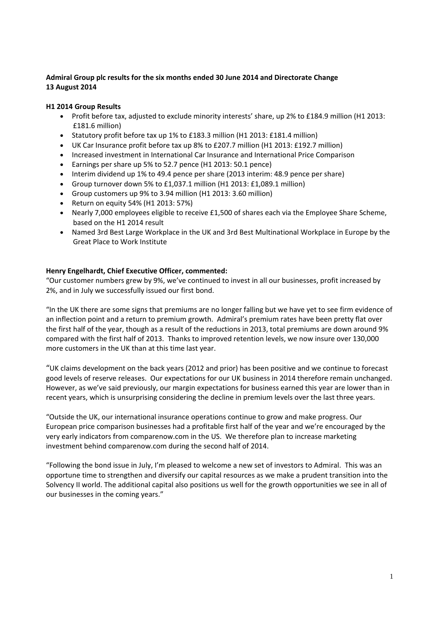## **Admiral Group plc results for the six months ended 30 June 2014 and Directorate Change 13 August 2014**

## **H1 2014 Group Results**

- Profit before tax, adjusted to exclude minority interests' share, up 2% to £184.9 million (H1 2013: £181.6 million)
- Statutory profit before tax up 1% to £183.3 million (H1 2013: £181.4 million)
- UK Car Insurance profit before tax up 8% to £207.7 million (H1 2013: £192.7 million)
- Increased investment in International Car Insurance and International Price Comparison
- Earnings per share up 5% to 52.7 pence (H1 2013: 50.1 pence)
- Interim dividend up 1% to 49.4 pence per share (2013 interim: 48.9 pence per share)
- Group turnover down 5% to £1,037.1 million (H1 2013: £1,089.1 million)
- Group customers up 9% to 3.94 million (H1 2013: 3.60 million)
- Return on equity 54% (H1 2013: 57%)
- Nearly 7,000 employees eligible to receive £1,500 of shares each via the Employee Share Scheme, based on the H1 2014 result
- Named 3rd Best Large Workplace in the UK and 3rd Best Multinational Workplace in Europe by the Great Place to Work Institute

## **Henry Engelhardt, Chief Executive Officer, commented:**

"Our customer numbers grew by 9%, we've continued to invest in all our businesses, profit increased by 2%, and in July we successfully issued our first bond.

"In the UK there are some signs that premiums are no longer falling but we have yet to see firm evidence of an inflection point and a return to premium growth. Admiral's premium rates have been pretty flat over the first half of the year, though as a result of the reductions in 2013, total premiums are down around 9% compared with the first half of 2013. Thanks to improved retention levels, we now insure over 130,000 more customers in the UK than at this time last year.

"UK claims development on the back years (2012 and prior) has been positive and we continue to forecast good levels of reserve releases. Our expectations for our UK business in 2014 therefore remain unchanged. However, as we've said previously, our margin expectations for business earned this year are lower than in recent years, which is unsurprising considering the decline in premium levels over the last three years.

"Outside the UK, our international insurance operations continue to grow and make progress. Our European price comparison businesses had a profitable first half of the year and we're encouraged by the very early indicators from comparenow.com in the US. We therefore plan to increase marketing investment behind comparenow.com during the second half of 2014.

"Following the bond issue in July, I'm pleased to welcome a new set of investors to Admiral. This was an opportune time to strengthen and diversify our capital resources as we make a prudent transition into the Solvency II world. The additional capital also positions us well for the growth opportunities we see in all of our businesses in the coming years."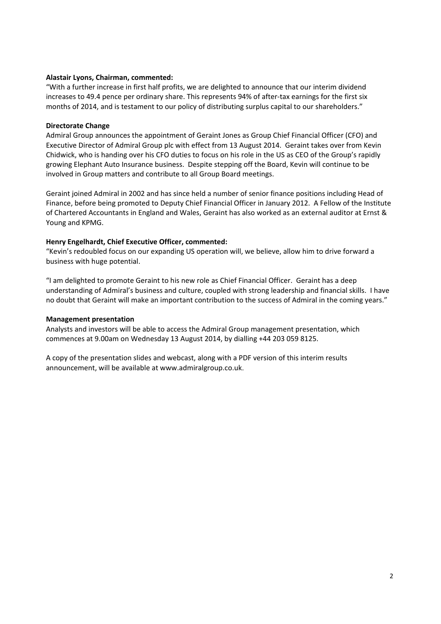#### **Alastair Lyons, Chairman, commented:**

"With a further increase in first half profits, we are delighted to announce that our interim dividend increases to 49.4 pence per ordinary share. This represents 94% of after-tax earnings for the first six months of 2014, and is testament to our policy of distributing surplus capital to our shareholders."

#### **Directorate Change**

Admiral Group announces the appointment of Geraint Jones as Group Chief Financial Officer (CFO) and Executive Director of Admiral Group plc with effect from 13 August 2014. Geraint takes over from Kevin Chidwick, who is handing over his CFO duties to focus on his role in the US as CEO of the Group's rapidly growing Elephant Auto Insurance business. Despite stepping off the Board, Kevin will continue to be involved in Group matters and contribute to all Group Board meetings.

Geraint joined Admiral in 2002 and has since held a number of senior finance positions including Head of Finance, before being promoted to Deputy Chief Financial Officer in January 2012. A Fellow of the Institute of Chartered Accountants in England and Wales, Geraint has also worked as an external auditor at Ernst & Young and KPMG.

#### **Henry Engelhardt, Chief Executive Officer, commented:**

"Kevin's redoubled focus on our expanding US operation will, we believe, allow him to drive forward a business with huge potential.

"I am delighted to promote Geraint to his new role as Chief Financial Officer. Geraint has a deep understanding of Admiral's business and culture, coupled with strong leadership and financial skills. I have no doubt that Geraint will make an important contribution to the success of Admiral in the coming years."

#### **Management presentation**

Analysts and investors will be able to access the Admiral Group management presentation, which commences at 9.00am on Wednesday 13 August 2014, by dialling +44 203 059 8125.

A copy of the presentation slides and webcast, along with a PDF version of this interim results announcement, will be available at www.admiralgroup.co.uk.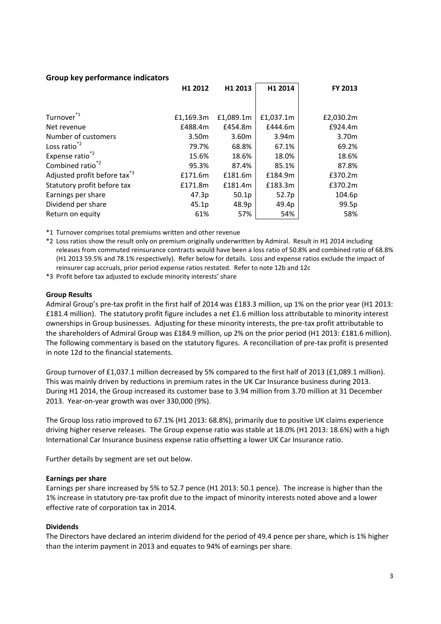#### **Group key performance indicators**

|                                         | H1 2012           | H1 2013           | H1 2014   | FY 2013   |
|-----------------------------------------|-------------------|-------------------|-----------|-----------|
|                                         |                   |                   |           |           |
| Turnover <sup>*1</sup>                  | £1,169.3m         | £1,089.1m         | £1,037.1m | £2,030.2m |
| Net revenue                             | £488.4m           | £454.8m           | £444.6m   | £924.4m   |
| Number of customers                     | 3.50 <sub>m</sub> | 3.60 <sub>m</sub> | 3.94m     | 3.70m     |
| Loss ratio <sup>*2</sup>                | 79.7%             | 68.8%             | 67.1%     | 69.2%     |
| Expense ratio <sup>*2</sup>             | 15.6%             | 18.6%             | 18.0%     | 18.6%     |
| Combined ratio <sup>2</sup>             | 95.3%             | 87.4%             | 85.1%     | 87.8%     |
| Adjusted profit before tax <sup>3</sup> | £171.6m           | £181.6m           | £184.9m   | £370.2m   |
| Statutory profit before tax             | £171.8m           | £181.4m           | £183.3m   | £370.2m   |
| Earnings per share                      | 47.3p             | 50.1 <sub>p</sub> | 52.7p     | 104.6p    |
| Dividend per share                      | 45.1p             | 48.9p             | 49.4p     | 99.5p     |
| Return on equity                        | 61%               | 57%               | 54%       | 58%       |

\*1 Turnover comprises total premiums written and other revenue

\*2 Loss ratios show the result only on premium originally underwritten by Admiral. Result in H1 2014 including releases from commuted reinsurance contracts would have been a loss ratio of 50.8% and combined ratio of 68.8% (H1 2013 59.5% and 78.1% respectively). Refer below for details. Loss and expense ratios exclude the impact of reinsurer cap accruals, prior period expense ratios restated. Refer to note 12b and 12c

\*3 Profit before tax adjusted to exclude minority interests' share

#### **Group Results**

Admiral Group's pre-tax profit in the first half of 2014 was £183.3 million, up 1% on the prior year (H1 2013: £181.4 million). The statutory profit figure includes a net £1.6 million loss attributable to minority interest ownerships in Group businesses. Adjusting for these minority interests, the pre-tax profit attributable to the shareholders of Admiral Group was £184.9 million, up 2% on the prior period (H1 2013: £181.6 million). The following commentary is based on the statutory figures. A reconciliation of pre-tax profit is presented in note 12d to the financial statements.

Group turnover of £1,037.1 million decreased by 5% compared to the first half of 2013 (£1,089.1 million). This was mainly driven by reductions in premium rates in the UK Car Insurance business during 2013. During H1 2014, the Group increased its customer base to 3.94 million from 3.70 million at 31 December 2013. Year-on-year growth was over 330,000 (9%).

The Group loss ratio improved to 67.1% (H1 2013: 68.8%), primarily due to positive UK claims experience driving higher reserve releases. The Group expense ratio was stable at 18.0% (H1 2013: 18.6%) with a high International Car Insurance business expense ratio offsetting a lower UK Car Insurance ratio.

Further details by segment are set out below.

#### **Earnings per share**

Earnings per share increased by 5% to 52.7 pence (H1 2013: 50.1 pence). The increase is higher than the 1% increase in statutory pre-tax profit due to the impact of minority interests noted above and a lower effective rate of corporation tax in 2014.

#### **Dividends**

The Directors have declared an interim dividend for the period of 49.4 pence per share, which is 1% higher than the interim payment in 2013 and equates to 94% of earnings per share.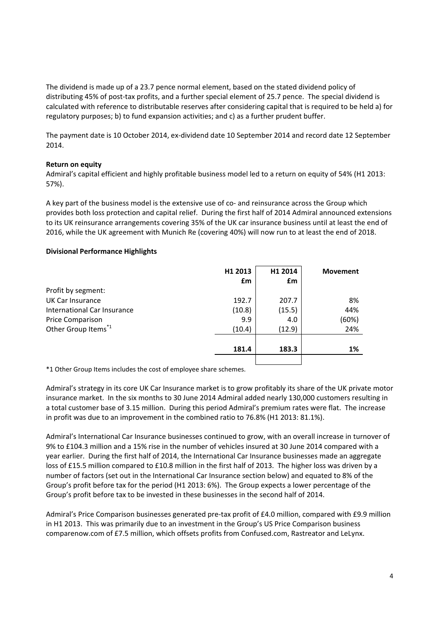The dividend is made up of a 23.7 pence normal element, based on the stated dividend policy of distributing 45% of post-tax profits, and a further special element of 25.7 pence. The special dividend is calculated with reference to distributable reserves after considering capital that is required to be held a) for regulatory purposes; b) to fund expansion activities; and c) as a further prudent buffer.

The payment date is 10 October 2014, ex-dividend date 10 September 2014 and record date 12 September 2014.

#### **Return on equity**

Admiral's capital efficient and highly profitable business model led to a return on equity of 54% (H1 2013: 57%).

A key part of the business model is the extensive use of co- and reinsurance across the Group which provides both loss protection and capital relief. During the first half of 2014 Admiral announced extensions to its UK reinsurance arrangements covering 35% of the UK car insurance business until at least the end of 2016, while the UK agreement with Munich Re (covering 40%) will now run to at least the end of 2018.

## **Divisional Performance Highlights**

|                                 | H1 2013 | H1 2014 | <b>Movement</b> |
|---------------------------------|---------|---------|-----------------|
|                                 | £m      | £m      |                 |
| Profit by segment:              |         |         |                 |
| UK Car Insurance                | 192.7   | 207.7   | 8%              |
| International Car Insurance     | (10.8)  | (15.5)  | 44%             |
| Price Comparison                | 9.9     | 4.0     | (60%)           |
| Other Group Items <sup>*1</sup> | (10.4)  | (12.9)  | 24%             |
|                                 |         |         |                 |
|                                 | 181.4   | 183.3   | 1%              |
|                                 |         |         |                 |

\*1 Other Group Items includes the cost of employee share schemes.

Admiral's strategy in its core UK Car Insurance market is to grow profitably its share of the UK private motor insurance market. In the six months to 30 June 2014 Admiral added nearly 130,000 customers resulting in a total customer base of 3.15 million. During this period Admiral's premium rates were flat. The increase in profit was due to an improvement in the combined ratio to 76.8% (H1 2013: 81.1%).

Admiral's International Car Insurance businesses continued to grow, with an overall increase in turnover of 9% to £104.3 million and a 15% rise in the number of vehicles insured at 30 June 2014 compared with a year earlier. During the first half of 2014, the International Car Insurance businesses made an aggregate loss of £15.5 million compared to £10.8 million in the first half of 2013. The higher loss was driven by a number of factors (set out in the International Car Insurance section below) and equated to 8% of the Group's profit before tax for the period (H1 2013: 6%). The Group expects a lower percentage of the Group's profit before tax to be invested in these businesses in the second half of 2014.

Admiral's Price Comparison businesses generated pre-tax profit of £4.0 million, compared with £9.9 million in H1 2013. This was primarily due to an investment in the Group's US Price Comparison business comparenow.com of £7.5 million, which offsets profits from Confused.com, Rastreator and LeLynx.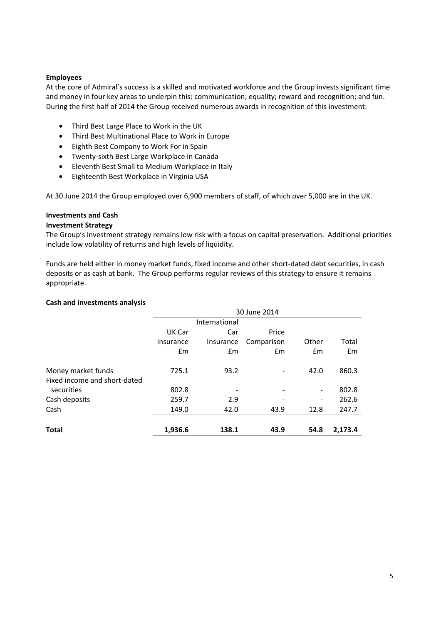#### **Employees**

At the core of Admiral's success is a skilled and motivated workforce and the Group invests significant time and money in four key areas to underpin this: communication; equality; reward and recognition; and fun. During the first half of 2014 the Group received numerous awards in recognition of this investment:

- Third Best Large Place to Work in the UK
- Third Best Multinational Place to Work in Europe
- Eighth Best Company to Work For in Spain
- Twenty-sixth Best Large Workplace in Canada
- Eleventh Best Small to Medium Workplace in Italy
- Eighteenth Best Workplace in Virginia USA

At 30 June 2014 the Group employed over 6,900 members of staff, of which over 5,000 are in the UK.

#### **Investments and Cash**

#### **Investment Strategy**

The Group's investment strategy remains low risk with a focus on capital preservation. Additional priorities include low volatility of returns and high levels of liquidity.

Funds are held either in money market funds, fixed income and other short-dated debt securities, in cash deposits or as cash at bank. The Group performs regular reviews of this strategy to ensure it remains appropriate.

#### **Cash and investments analysis**

|                              | 30 June 2014 |               |            |       |         |
|------------------------------|--------------|---------------|------------|-------|---------|
|                              |              | International |            |       |         |
|                              | UK Car       |               |            |       |         |
|                              | Insurance    | Insurance     | Comparison | Other | Total   |
|                              | Em           | Em            | £m         | Em    | Em      |
| Money market funds           | 725.1        | 93.2          |            | 42.0  | 860.3   |
| Fixed income and short-dated |              |               |            |       |         |
| securities                   | 802.8        |               |            | -     | 802.8   |
| Cash deposits                | 259.7        | 2.9           |            | -     | 262.6   |
| Cash                         | 149.0        | 42.0          | 43.9       | 12.8  | 247.7   |
|                              |              |               |            |       |         |
| <b>Total</b>                 | 1,936.6      | 138.1         | 43.9       | 54.8  | 2,173.4 |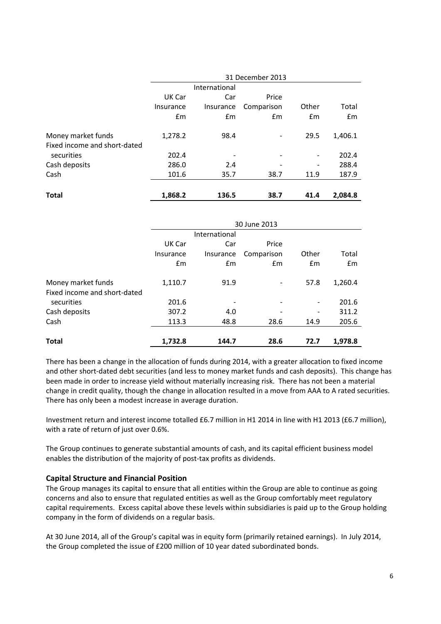|                              | 31 December 2013 |               |            |       |         |  |
|------------------------------|------------------|---------------|------------|-------|---------|--|
|                              |                  | International |            |       |         |  |
|                              | UK Car           | Car           | Price      |       |         |  |
|                              | Insurance        | Insurance     | Comparison | Other | Total   |  |
|                              | Em               | Em            | Em         | £m    | Em      |  |
| Money market funds           | 1,278.2          | 98.4          |            | 29.5  | 1,406.1 |  |
| Fixed income and short-dated |                  |               |            |       |         |  |
| securities                   | 202.4            | -             |            | -     | 202.4   |  |
| Cash deposits                | 286.0            | 2.4           |            |       | 288.4   |  |
| Cash                         | 101.6            | 35.7          | 38.7       | 11.9  | 187.9   |  |
| <b>Total</b>                 | 1,868.2          | 136.5         | 38.7       | 41.4  | 2,084.8 |  |

|                              | 30 June 2013  |           |            |       |         |  |
|------------------------------|---------------|-----------|------------|-------|---------|--|
|                              | International |           |            |       |         |  |
|                              | UK Car        | Car       | Price      |       |         |  |
|                              | Insurance     | Insurance | Comparison | Other | Total   |  |
|                              | Em            | Em        | £m         | Em    | Em      |  |
| Money market funds           | 1,110.7       | 91.9      |            | 57.8  | 1,260.4 |  |
| Fixed income and short-dated |               |           |            |       |         |  |
| securities                   | 201.6         |           |            | -     | 201.6   |  |
| Cash deposits                | 307.2         | 4.0       |            | -     | 311.2   |  |
| Cash                         | 113.3         | 48.8      | 28.6       | 14.9  | 205.6   |  |
| <b>Total</b>                 | 1,732.8       | 144.7     | 28.6       | 72.7  | 1,978.8 |  |

There has been a change in the allocation of funds during 2014, with a greater allocation to fixed income and other short-dated debt securities (and less to money market funds and cash deposits). This change has been made in order to increase yield without materially increasing risk. There has not been a material change in credit quality, though the change in allocation resulted in a move from AAA to A rated securities. There has only been a modest increase in average duration.

Investment return and interest income totalled £6.7 million in H1 2014 in line with H1 2013 (£6.7 million), with a rate of return of just over 0.6%.

The Group continues to generate substantial amounts of cash, and its capital efficient business model enables the distribution of the majority of post-tax profits as dividends.

#### **Capital Structure and Financial Position**

The Group manages its capital to ensure that all entities within the Group are able to continue as going concerns and also to ensure that regulated entities as well as the Group comfortably meet regulatory capital requirements. Excess capital above these levels within subsidiaries is paid up to the Group holding company in the form of dividends on a regular basis.

At 30 June 2014, all of the Group's capital was in equity form (primarily retained earnings). In July 2014, the Group completed the issue of £200 million of 10 year dated subordinated bonds.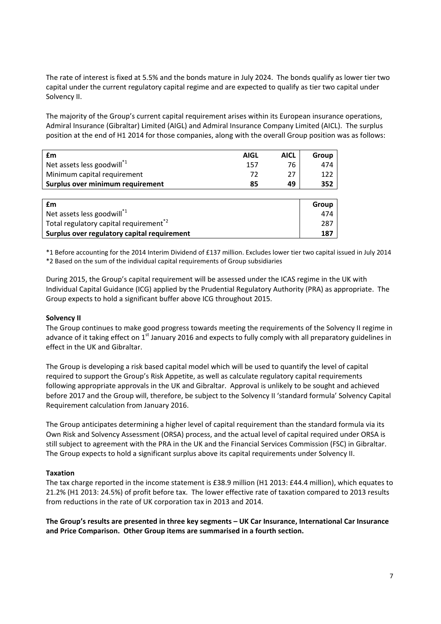The rate of interest is fixed at 5.5% and the bonds mature in July 2024. The bonds qualify as lower tier two capital under the current regulatory capital regime and are expected to qualify as tier two capital under Solvency II.

The majority of the Group's current capital requirement arises within its European insurance operations, Admiral Insurance (Gibraltar) Limited (AIGL) and Admiral Insurance Company Limited (AICL). The surplus position at the end of H1 2014 for those companies, along with the overall Group position was as follows:

| £m                               | AIGL | AICL | Group |
|----------------------------------|------|------|-------|
| Net assets less goodwill $1$     | 157  | 76   | 474   |
| Minimum capital requirement      |      | 27   | 122   |
| Surplus over minimum requirement | 85   | 49   | 352   |

| £m                                                | Group |
|---------------------------------------------------|-------|
| Net assets less goodwill $1$                      | 474   |
| Total regulatory capital requirement <sup>2</sup> | 287   |
| Surplus over regulatory capital requirement       | 187   |

\*1 Before accounting for the 2014 Interim Dividend of £137 million. Excludes lower tier two capital issued in July 2014 \*2 Based on the sum of the individual capital requirements of Group subsidiaries

During 2015, the Group's capital requirement will be assessed under the ICAS regime in the UK with Individual Capital Guidance (ICG) applied by the Prudential Regulatory Authority (PRA) as appropriate. The Group expects to hold a significant buffer above ICG throughout 2015.

#### **Solvency II**

The Group continues to make good progress towards meeting the requirements of the Solvency II regime in advance of it taking effect on  $1<sup>st</sup>$  January 2016 and expects to fully comply with all preparatory guidelines in effect in the UK and Gibraltar.

The Group is developing a risk based capital model which will be used to quantify the level of capital required to support the Group's Risk Appetite, as well as calculate regulatory capital requirements following appropriate approvals in the UK and Gibraltar. Approval is unlikely to be sought and achieved before 2017 and the Group will, therefore, be subject to the Solvency II 'standard formula' Solvency Capital Requirement calculation from January 2016.

The Group anticipates determining a higher level of capital requirement than the standard formula via its Own Risk and Solvency Assessment (ORSA) process, and the actual level of capital required under ORSA is still subject to agreement with the PRA in the UK and the Financial Services Commission (FSC) in Gibraltar. The Group expects to hold a significant surplus above its capital requirements under Solvency II.

#### **Taxation**

The tax charge reported in the income statement is £38.9 million (H1 2013: £44.4 million), which equates to 21.2% (H1 2013: 24.5%) of profit before tax. The lower effective rate of taxation compared to 2013 results from reductions in the rate of UK corporation tax in 2013 and 2014.

**The Group's results are presented in three key segments – UK Car Insurance, International Car Insurance and Price Comparison. Other Group items are summarised in a fourth section.**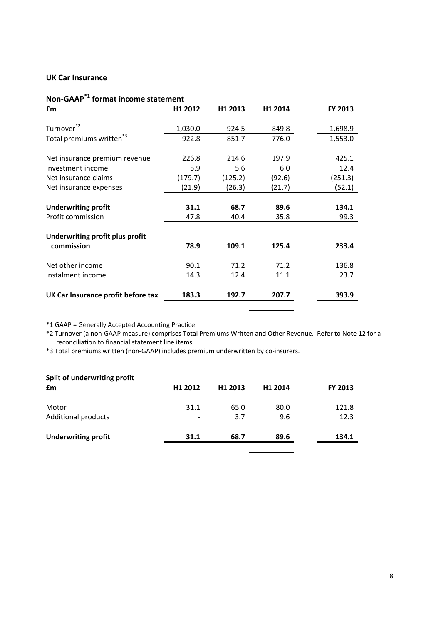## **UK Car Insurance**

# **Non-GAAP\*1 format income statement**

| £m                                   | H1 2012 | H1 2013 | H1 2014 | FY 2013 |
|--------------------------------------|---------|---------|---------|---------|
| Turnover                             | 1,030.0 | 924.5   | 849.8   | 1,698.9 |
| Total premiums written <sup>*3</sup> | 922.8   | 851.7   | 776.0   | 1,553.0 |
|                                      |         |         |         |         |
| Net insurance premium revenue        | 226.8   | 214.6   | 197.9   | 425.1   |
| Investment income                    | 5.9     | 5.6     | 6.0     | 12.4    |
| Net insurance claims                 | (179.7) | (125.2) | (92.6)  | (251.3) |
| Net insurance expenses               | (21.9)  | (26.3)  | (21.7)  | (52.1)  |
|                                      |         |         |         |         |
| <b>Underwriting profit</b>           | 31.1    | 68.7    | 89.6    | 134.1   |
| Profit commission                    | 47.8    | 40.4    | 35.8    | 99.3    |
| Underwriting profit plus profit      |         |         |         |         |
| commission                           | 78.9    | 109.1   | 125.4   | 233.4   |
| Net other income                     | 90.1    | 71.2    | 71.2    | 136.8   |
| Instalment income                    | 14.3    | 12.4    | 11.1    | 23.7    |
| UK Car Insurance profit before tax   | 183.3   | 192.7   | 207.7   | 393.9   |
|                                      |         |         |         |         |

\*1 GAAP = Generally Accepted Accounting Practice

\*2 Turnover (a non-GAAP measure) comprises Total Premiums Written and Other Revenue. Refer to Note 12 for a reconciliation to financial statement line items.

\*3 Total premiums written (non-GAAP) includes premium underwritten by co-insurers.

| Split of underwriting profit |         |         |         |         |
|------------------------------|---------|---------|---------|---------|
| £m                           | H1 2012 | H1 2013 | H1 2014 | FY 2013 |
| Motor                        | 31.1    | 65.0    | 80.0    | 121.8   |
| <b>Additional products</b>   |         | 3.7     | 9.6     | 12.3    |
| <b>Underwriting profit</b>   | 31.1    | 68.7    | 89.6    | 134.1   |
|                              |         |         |         |         |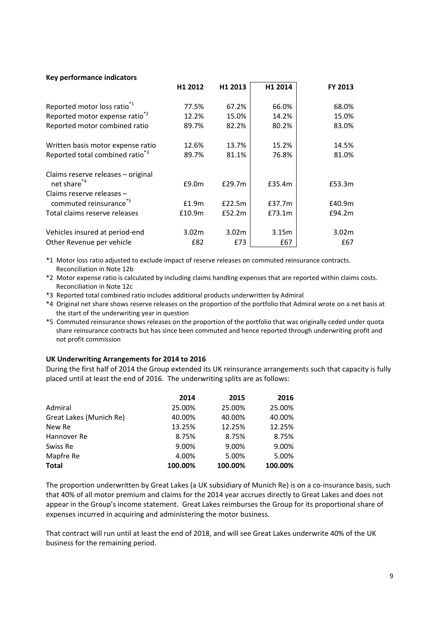#### **Key performance indicators**

|                                             | H1 2012           | H1 2013 | H1 2014 | FY 2013 |
|---------------------------------------------|-------------------|---------|---------|---------|
| Reported motor loss ratio <sup>1</sup>      | 77.5%             | 67.2%   | 66.0%   | 68.0%   |
| Reported motor expense ratio <sup>*2</sup>  | 12.2%             | 15.0%   | 14.2%   | 15.0%   |
| Reported motor combined ratio               | 89.7%             | 82.2%   | 80.2%   | 83.0%   |
| Written basis motor expense ratio           | 12.6%             | 13.7%   | 15.2%   | 14.5%   |
| Reported total combined ratio <sup>*3</sup> | 89.7%             | 81.1%   | 76.8%   | 81.0%   |
| Claims reserve releases - original          |                   |         |         |         |
| net share <sup>*4</sup>                     | E9.0m             | £29.7m  | £35.4m  | £53.3m  |
| Claims reserve releases -                   |                   |         |         |         |
| commuted reinsurance <sup>*5</sup>          | £1.9m             | £22.5m  | £37.7m  | £40.9m  |
| Total claims reserve releases               | £10.9m            | £52.2m  | £73.1m  | £94.2m  |
| Vehicles insured at period-end              | 3.02 <sub>m</sub> | 3.02m   | 3.15m   | 3.02m   |
| Other Revenue per vehicle                   | £82               | £73     | £67     | £67     |

\*1 Motor loss ratio adjusted to exclude impact of reserve releases on commuted reinsurance contracts. Reconciliation in Note 12b

- \*2 Motor expense ratio is calculated by including claims handling expenses that are reported within claims costs. Reconciliation in Note 12c
- \*3 Reported total combined ratio includes additional products underwritten by Admiral
- \*4 Original net share shows reserve releases on the proportion of the portfolio that Admiral wrote on a net basis at the start of the underwriting year in question
- \*5 Commuted reinsurance shows releases on the proportion of the portfolio that was originally ceded under quota share reinsurance contracts but has since been commuted and hence reported through underwriting profit and not profit commission

#### **UK Underwriting Arrangements for 2014 to 2016**

During the first half of 2014 the Group extended its UK reinsurance arrangements such that capacity is fully placed until at least the end of 2016. The underwriting splits are as follows:

|                         | 2014    | 2015    | 2016    |
|-------------------------|---------|---------|---------|
| Admiral                 | 25.00%  | 25.00%  | 25.00%  |
| Great Lakes (Munich Re) | 40.00%  | 40.00%  | 40.00%  |
| New Re                  | 13.25%  | 12.25%  | 12.25%  |
| Hannover Re             | 8.75%   | 8.75%   | 8.75%   |
| Swiss Re                | 9.00%   | 9.00%   | 9.00%   |
| Mapfre Re               | 4.00%   | 5.00%   | 5.00%   |
| <b>Total</b>            | 100.00% | 100.00% | 100.00% |

The proportion underwritten by Great Lakes (a UK subsidiary of Munich Re) is on a co-insurance basis, such that 40% of all motor premium and claims for the 2014 year accrues directly to Great Lakes and does not appear in the Group's income statement. Great Lakes reimburses the Group for its proportional share of expenses incurred in acquiring and administering the motor business.

That contract will run until at least the end of 2018, and will see Great Lakes underwrite 40% of the UK business for the remaining period.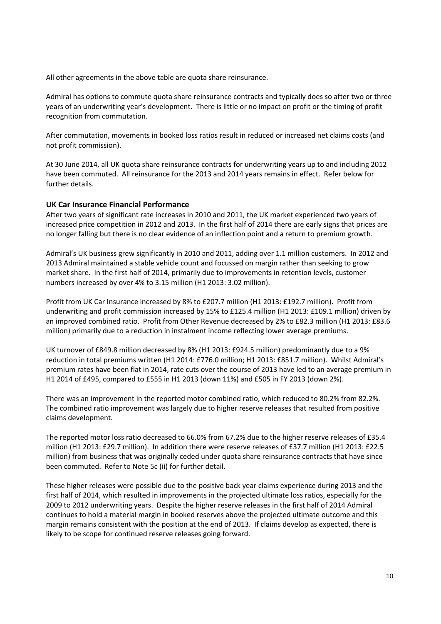All other agreements in the above table are quota share reinsurance.

Admiral has options to commute quota share reinsurance contracts and typically does so after two or three years of an underwriting year's development. There is little or no impact on profit or the timing of profit recognition from commutation.

After commutation, movements in booked loss ratios result in reduced or increased net claims costs (and not profit commission).

At 30 June 2014, all UK quota share reinsurance contracts for underwriting years up to and including 2012 have been commuted. All reinsurance for the 2013 and 2014 years remains in effect. Refer below for further details.

## **UK Car Insurance Financial Performance**

After two years of significant rate increases in 2010 and 2011, the UK market experienced two years of increased price competition in 2012 and 2013. In the first half of 2014 there are early signs that prices are no longer falling but there is no clear evidence of an inflection point and a return to premium growth.

Admiral's UK business grew significantly in 2010 and 2011, adding over 1.1 million customers. In 2012 and 2013 Admiral maintained a stable vehicle count and focussed on margin rather than seeking to grow market share. In the first half of 2014, primarily due to improvements in retention levels, customer numbers increased by over 4% to 3.15 million (H1 2013: 3.02 million).

Profit from UK Car Insurance increased by 8% to £207.7 million (H1 2013: £192.7 million). Profit from underwriting and profit commission increased by 15% to £125.4 million (H1 2013: £109.1 million) driven by an improved combined ratio. Profit from Other Revenue decreased by 2% to £82.3 million (H1 2013: £83.6 million) primarily due to a reduction in instalment income reflecting lower average premiums.

UK turnover of £849.8 million decreased by 8% (H1 2013: £924.5 million) predominantly due to a 9% reduction in total premiums written (H1 2014: £776.0 million; H1 2013: £851.7 million). Whilst Admiral's premium rates have been flat in 2014, rate cuts over the course of 2013 have led to an average premium in H1 2014 of £495, compared to £555 in H1 2013 (down 11%) and £505 in FY 2013 (down 2%).

There was an improvement in the reported motor combined ratio, which reduced to 80.2% from 82.2%. The combined ratio improvement was largely due to higher reserve releases that resulted from positive claims development.

The reported motor loss ratio decreased to 66.0% from 67.2% due to the higher reserve releases of £35.4 million (H1 2013: £29.7 million). In addition there were reserve releases of £37.7 million (H1 2013: £22.5 million) from business that was originally ceded under quota share reinsurance contracts that have since been commuted. Refer to Note 5c (ii) for further detail.

These higher releases were possible due to the positive back year claims experience during 2013 and the first half of 2014, which resulted in improvements in the projected ultimate loss ratios, especially for the 2009 to 2012 underwriting years. Despite the higher reserve releases in the first half of 2014 Admiral continues to hold a material margin in booked reserves above the projected ultimate outcome and this margin remains consistent with the position at the end of 2013. If claims develop as expected, there is likely to be scope for continued reserve releases going forward.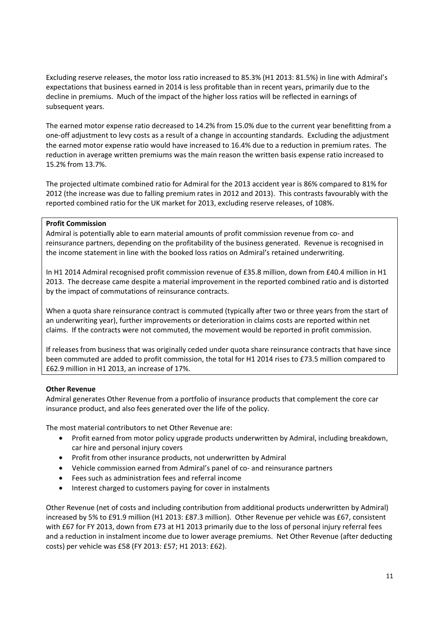Excluding reserve releases, the motor loss ratio increased to 85.3% (H1 2013: 81.5%) in line with Admiral's expectations that business earned in 2014 is less profitable than in recent years, primarily due to the decline in premiums. Much of the impact of the higher loss ratios will be reflected in earnings of subsequent years.

The earned motor expense ratio decreased to 14.2% from 15.0% due to the current year benefitting from a one-off adjustment to levy costs as a result of a change in accounting standards. Excluding the adjustment the earned motor expense ratio would have increased to 16.4% due to a reduction in premium rates. The reduction in average written premiums was the main reason the written basis expense ratio increased to 15.2% from 13.7%.

The projected ultimate combined ratio for Admiral for the 2013 accident year is 86% compared to 81% for 2012 (the increase was due to falling premium rates in 2012 and 2013). This contrasts favourably with the reported combined ratio for the UK market for 2013, excluding reserve releases, of 108%.

## **Profit Commission**

Admiral is potentially able to earn material amounts of profit commission revenue from co- and reinsurance partners, depending on the profitability of the business generated. Revenue is recognised in the income statement in line with the booked loss ratios on Admiral's retained underwriting.

In H1 2014 Admiral recognised profit commission revenue of £35.8 million, down from £40.4 million in H1 2013. The decrease came despite a material improvement in the reported combined ratio and is distorted by the impact of commutations of reinsurance contracts.

When a quota share reinsurance contract is commuted (typically after two or three years from the start of an underwriting year), further improvements or deterioration in claims costs are reported within net claims. If the contracts were not commuted, the movement would be reported in profit commission.

If releases from business that was originally ceded under quota share reinsurance contracts that have since been commuted are added to profit commission, the total for H1 2014 rises to £73.5 million compared to £62.9 million in H1 2013, an increase of 17%.

#### **Other Revenue**

Admiral generates Other Revenue from a portfolio of insurance products that complement the core car insurance product, and also fees generated over the life of the policy.

The most material contributors to net Other Revenue are:

- Profit earned from motor policy upgrade products underwritten by Admiral, including breakdown, car hire and personal injury covers
- Profit from other insurance products, not underwritten by Admiral
- Vehicle commission earned from Admiral's panel of co- and reinsurance partners
- Fees such as administration fees and referral income
- Interest charged to customers paying for cover in instalments

Other Revenue (net of costs and including contribution from additional products underwritten by Admiral) increased by 5% to £91.9 million (H1 2013: £87.3 million). Other Revenue per vehicle was £67, consistent with £67 for FY 2013, down from £73 at H1 2013 primarily due to the loss of personal injury referral fees and a reduction in instalment income due to lower average premiums. Net Other Revenue (after deducting costs) per vehicle was £58 (FY 2013: £57; H1 2013: £62).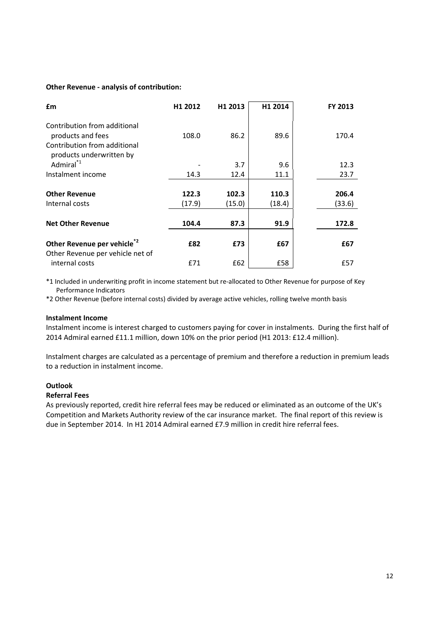#### **Other Revenue - analysis of contribution:**

| £m                                                                                                            | H <sub>1</sub> 2012 | H <sub>1</sub> 2013 | H1 2014 | <b>FY 2013</b> |
|---------------------------------------------------------------------------------------------------------------|---------------------|---------------------|---------|----------------|
| Contribution from additional<br>products and fees<br>Contribution from additional<br>products underwritten by | 108.0               | 86.2                | 89.6    | 170.4          |
| Admiral <sup>*1</sup>                                                                                         |                     | 3.7                 | 9.6     | 12.3           |
| Instalment income                                                                                             | 14.3                | 12.4                | 11.1    | 23.7           |
|                                                                                                               |                     |                     |         |                |
| <b>Other Revenue</b>                                                                                          | 122.3               | 102.3               | 110.3   | 206.4          |
| Internal costs                                                                                                | (17.9)              | (15.0)              | (18.4)  | (33.6)         |
| <b>Net Other Revenue</b>                                                                                      | 104.4               | 87.3                | 91.9    | 172.8          |
| Other Revenue per vehicle <sup>*2</sup>                                                                       | £82                 | £73                 | £67     | £67            |
| Other Revenue per vehicle net of<br>internal costs                                                            | £71                 | £62                 | £58     | £57            |

\*1 Included in underwriting profit in income statement but re-allocated to Other Revenue for purpose of Key Performance Indicators

\*2 Other Revenue (before internal costs) divided by average active vehicles, rolling twelve month basis

#### **Instalment Income**

Instalment income is interest charged to customers paying for cover in instalments. During the first half of 2014 Admiral earned £11.1 million, down 10% on the prior period (H1 2013: £12.4 million).

Instalment charges are calculated as a percentage of premium and therefore a reduction in premium leads to a reduction in instalment income.

#### **Outlook**

#### **Referral Fees**

As previously reported, credit hire referral fees may be reduced or eliminated as an outcome of the UK's Competition and Markets Authority review of the car insurance market. The final report of this review is due in September 2014. In H1 2014 Admiral earned £7.9 million in credit hire referral fees.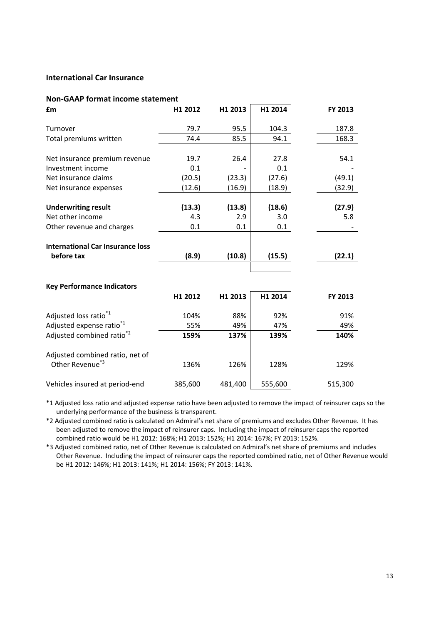## **International Car Insurance**

#### **Non-GAAP format income statement**

| £m                                      | H1 2012 | H1 2013 | H1 2014 | FY 2013 |
|-----------------------------------------|---------|---------|---------|---------|
| Turnover                                | 79.7    | 95.5    | 104.3   | 187.8   |
| Total premiums written                  | 74.4    | 85.5    | 94.1    | 168.3   |
|                                         |         |         |         |         |
| Net insurance premium revenue           | 19.7    | 26.4    | 27.8    | 54.1    |
| Investment income                       | 0.1     |         | 0.1     |         |
| Net insurance claims                    | (20.5)  | (23.3)  | (27.6)  | (49.1)  |
| Net insurance expenses                  | (12.6)  | (16.9)  | (18.9)  | (32.9)  |
| <b>Underwriting result</b>              | (13.3)  | (13.8)  | (18.6)  | (27.9)  |
| Net other income                        | 4.3     | 2.9     | 3.0     | 5.8     |
| Other revenue and charges               | 0.1     | 0.1     | 0.1     |         |
| <b>International Car Insurance loss</b> |         |         |         |         |
| before tax                              | (8.9)   | (10.8)  | (15.5)  | (22.1)  |
|                                         |         |         |         |         |
| <b>Key Performance Indicators</b>       |         |         |         |         |
|                                         | H1 2012 | H1 2013 | H1 2014 | FY 2013 |
| Adjusted loss ratio <sup>*1</sup>       | 104%    | 88%     | 92%     | 91%     |
| Adjusted expense ratio <sup>*1</sup>    | 55%     | 49%     | 47%     | 49%     |
| Adjusted combined ratio <sup>*2</sup>   | 159%    | 137%    | 139%    | 140%    |
| Adjusted combined ratio, net of         |         |         |         |         |
| Other Revenue <sup>*3</sup>             | 136%    | 126%    | 128%    | 129%    |
| Vehicles insured at period-end          | 385,600 | 481,400 | 555,600 | 515,300 |

\*1 Adjusted loss ratio and adjusted expense ratio have been adjusted to remove the impact of reinsurer caps so the underlying performance of the business is transparent.

\*2 Adjusted combined ratio is calculated on Admiral's net share of premiums and excludes Other Revenue. It has been adjusted to remove the impact of reinsurer caps. Including the impact of reinsurer caps the reported combined ratio would be H1 2012: 168%; H1 2013: 152%; H1 2014: 167%; FY 2013: 152%.

\*3 Adjusted combined ratio, net of Other Revenue is calculated on Admiral's net share of premiums and includes Other Revenue. Including the impact of reinsurer caps the reported combined ratio, net of Other Revenue would be H1 2012: 146%; H1 2013: 141%; H1 2014: 156%; FY 2013: 141%.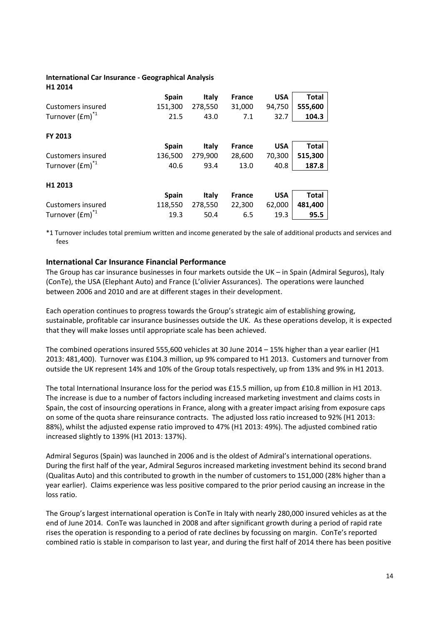#### **International Car Insurance - Geographical Analysis H1 2014**

|                             | <b>Spain</b> | <b>Italy</b> | <b>France</b> | <b>USA</b> | <b>Total</b> |
|-----------------------------|--------------|--------------|---------------|------------|--------------|
| Customers insured           | 151,300      | 278,550      | 31,000        | 94,750     | 555,600      |
| Turnover (£m) <sup>*1</sup> | 21.5         | 43.0         | 7.1           | 32.7       | 104.3        |
|                             |              |              |               |            |              |
| FY 2013                     |              |              |               |            |              |
|                             | <b>Spain</b> | Italy        | <b>France</b> | <b>USA</b> | <b>Total</b> |
| Customers insured           | 136,500      | 279,900      | 28,600        | 70,300     | 515,300      |
| Turnover (£m) <sup>*1</sup> | 40.6         | 93.4         | 13.0          | 40.8       | 187.8        |
|                             |              |              |               |            |              |
| H1 2013                     |              |              |               |            |              |
|                             | <b>Spain</b> | Italy        | <b>France</b> | <b>USA</b> | <b>Total</b> |
| Customers insured           | 118,550      | 278,550      | 22,300        | 62,000     | 481,400      |
| Turnover (£m) <sup>*1</sup> | 19.3         | 50.4         | 6.5           | 19.3       | 95.5         |

\*1 Turnover includes total premium written and income generated by the sale of additional products and services and fees

## **International Car Insurance Financial Performance**

The Group has car insurance businesses in four markets outside the UK – in Spain (Admiral Seguros), Italy (ConTe), the USA (Elephant Auto) and France (L'olivier Assurances). The operations were launched between 2006 and 2010 and are at different stages in their development.

Each operation continues to progress towards the Group's strategic aim of establishing growing, sustainable, profitable car insurance businesses outside the UK. As these operations develop, it is expected that they will make losses until appropriate scale has been achieved.

The combined operations insured 555,600 vehicles at 30 June 2014 – 15% higher than a year earlier (H1 2013: 481,400). Turnover was £104.3 million, up 9% compared to H1 2013. Customers and turnover from outside the UK represent 14% and 10% of the Group totals respectively, up from 13% and 9% in H1 2013.

The total International Insurance loss for the period was £15.5 million, up from £10.8 million in H1 2013. The increase is due to a number of factors including increased marketing investment and claims costs in Spain, the cost of insourcing operations in France, along with a greater impact arising from exposure caps on some of the quota share reinsurance contracts. The adjusted loss ratio increased to 92% (H1 2013: 88%), whilst the adjusted expense ratio improved to 47% (H1 2013: 49%). The adjusted combined ratio increased slightly to 139% (H1 2013: 137%).

Admiral Seguros (Spain) was launched in 2006 and is the oldest of Admiral's international operations. During the first half of the year, Admiral Seguros increased marketing investment behind its second brand (Qualitas Auto) and this contributed to growth in the number of customers to 151,000 (28% higher than a year earlier). Claims experience was less positive compared to the prior period causing an increase in the loss ratio.

The Group's largest international operation is ConTe in Italy with nearly 280,000 insured vehicles as at the end of June 2014. ConTe was launched in 2008 and after significant growth during a period of rapid rate rises the operation is responding to a period of rate declines by focussing on margin. ConTe's reported combined ratio is stable in comparison to last year, and during the first half of 2014 there has been positive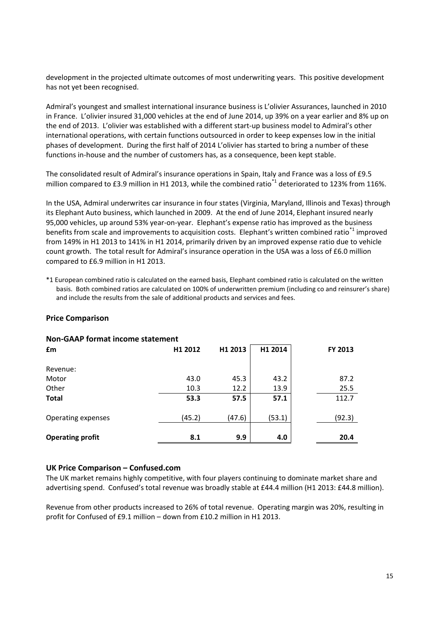development in the projected ultimate outcomes of most underwriting years. This positive development has not yet been recognised.

Admiral's youngest and smallest international insurance business is L'olivier Assurances, launched in 2010 in France. L'olivier insured 31,000 vehicles at the end of June 2014, up 39% on a year earlier and 8% up on the end of 2013. L'olivier was established with a different start-up business model to Admiral's other international operations, with certain functions outsourced in order to keep expenses low in the initial phases of development. During the first half of 2014 L'olivier has started to bring a number of these functions in-house and the number of customers has, as a consequence, been kept stable.

The consolidated result of Admiral's insurance operations in Spain, Italy and France was a loss of £9.5 million compared to £3.9 million in H1 2013, while the combined ratio<sup>\*1</sup> deteriorated to 123% from 116%.

In the USA, Admiral underwrites car insurance in four states (Virginia, Maryland, Illinois and Texas) through its Elephant Auto business, which launched in 2009. At the end of June 2014, Elephant insured nearly 95,000 vehicles, up around 53% year-on-year. Elephant's expense ratio has improved as the business benefits from scale and improvements to acquisition costs. Elephant's written combined ratio<sup>\*1</sup> improved from 149% in H1 2013 to 141% in H1 2014, primarily driven by an improved expense ratio due to vehicle count growth. The total result for Admiral's insurance operation in the USA was a loss of £6.0 million compared to £6.9 million in H1 2013.

\*1 European combined ratio is calculated on the earned basis, Elephant combined ratio is calculated on the written basis. Both combined ratios are calculated on 100% of underwritten premium (including co and reinsurer's share) and include the results from the sale of additional products and services and fees.

| <b>Non-GAAP format income statement</b> |         |         |         |         |  |  |  |  |  |  |
|-----------------------------------------|---------|---------|---------|---------|--|--|--|--|--|--|
| £m                                      | H1 2012 | H1 2013 | H1 2014 | FY 2013 |  |  |  |  |  |  |
| Revenue:                                |         |         |         |         |  |  |  |  |  |  |
| Motor                                   | 43.0    | 45.3    | 43.2    | 87.2    |  |  |  |  |  |  |
| Other                                   | 10.3    | 12.2    | 13.9    | 25.5    |  |  |  |  |  |  |
| <b>Total</b>                            | 53.3    | 57.5    | 57.1    | 112.7   |  |  |  |  |  |  |
| Operating expenses                      | (45.2)  | (47.6)  | (53.1)  | (92.3)  |  |  |  |  |  |  |
| <b>Operating profit</b>                 | 8.1     | 9.9     | 4.0     | 20.4    |  |  |  |  |  |  |

#### **Price Comparison**

#### **UK Price Comparison – Confused.com**

The UK market remains highly competitive, with four players continuing to dominate market share and advertising spend. Confused's total revenue was broadly stable at £44.4 million (H1 2013: £44.8 million).

Revenue from other products increased to 26% of total revenue. Operating margin was 20%, resulting in profit for Confused of £9.1 million – down from £10.2 million in H1 2013.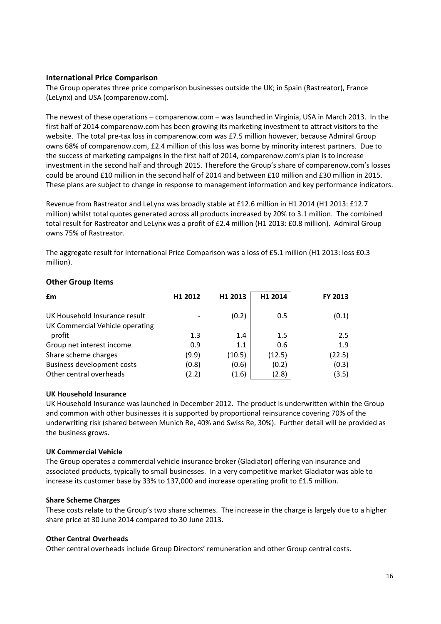#### **International Price Comparison**

The Group operates three price comparison businesses outside the UK; in Spain (Rastreator), France (LeLynx) and USA (comparenow.com).

The newest of these operations – comparenow.com – was launched in Virginia, USA in March 2013. In the first half of 2014 comparenow.com has been growing its marketing investment to attract visitors to the website. The total pre-tax loss in comparenow.com was £7.5 million however, because Admiral Group owns 68% of comparenow.com, £2.4 million of this loss was borne by minority interest partners. Due to the success of marketing campaigns in the first half of 2014, comparenow.com's plan is to increase investment in the second half and through 2015. Therefore the Group's share of comparenow.com's losses could be around £10 million in the second half of 2014 and between £10 million and £30 million in 2015. These plans are subject to change in response to management information and key performance indicators.

Revenue from Rastreator and LeLynx was broadly stable at £12.6 million in H1 2014 (H1 2013: £12.7 million) whilst total quotes generated across all products increased by 20% to 3.1 million. The combined total result for Rastreator and LeLynx was a profit of £2.4 million (H1 2013: £0.8 million). Admiral Group owns 75% of Rastreator.

The aggregate result for International Price Comparison was a loss of £5.1 million (H1 2013: loss £0.3 million).

## **Other Group Items**

| £m                                                               | H1 2012 | H1 2013 | H1 2014 | FY 2013 |
|------------------------------------------------------------------|---------|---------|---------|---------|
| UK Household Insurance result<br>UK Commercial Vehicle operating |         | (0.2)   | 0.5     | (0.1)   |
| profit                                                           | 1.3     | 1.4     | 1.5     | 2.5     |
| Group net interest income                                        | 0.9     | 1.1     | 0.6     | 1.9     |
| Share scheme charges                                             | (9.9)   | (10.5)  | (12.5)  | (22.5)  |
| <b>Business development costs</b>                                | (0.8)   | (0.6)   | (0.2)   | (0.3)   |
| Other central overheads                                          | (2.2)   | (1.6)   | (2.8)   | (3.5)   |

#### **UK Household Insurance**

UK Household Insurance was launched in December 2012. The product is underwritten within the Group and common with other businesses it is supported by proportional reinsurance covering 70% of the underwriting risk (shared between Munich Re, 40% and Swiss Re, 30%). Further detail will be provided as the business grows.

#### **UK Commercial Vehicle**

The Group operates a commercial vehicle insurance broker (Gladiator) offering van insurance and associated products, typically to small businesses. In a very competitive market Gladiator was able to increase its customer base by 33% to 137,000 and increase operating profit to £1.5 million.

#### **Share Scheme Charges**

These costs relate to the Group's two share schemes. The increase in the charge is largely due to a higher share price at 30 June 2014 compared to 30 June 2013.

#### **Other Central Overheads**

Other central overheads include Group Directors' remuneration and other Group central costs.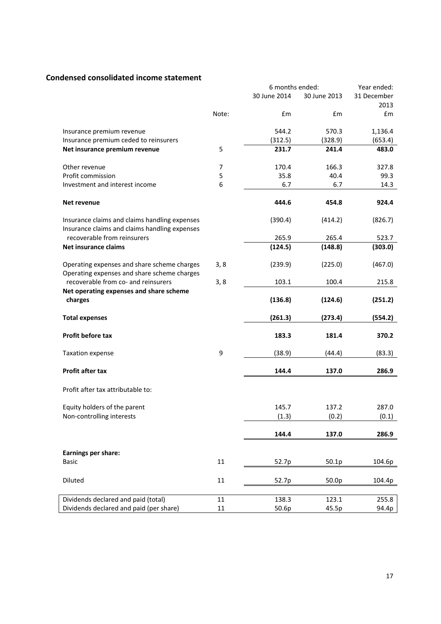## **Condensed consolidated income statement**

| idensed consondated income statement                                                           |       |                 |              |             |
|------------------------------------------------------------------------------------------------|-------|-----------------|--------------|-------------|
|                                                                                                |       | 6 months ended: | Year ended:  |             |
|                                                                                                |       | 30 June 2014    | 30 June 2013 | 31 December |
|                                                                                                |       |                 |              | 2013        |
|                                                                                                | Note: | £m              | £m           | £m          |
| Insurance premium revenue                                                                      |       | 544.2           | 570.3        | 1,136.4     |
| Insurance premium ceded to reinsurers                                                          |       | (312.5)         | (328.9)      | (653.4)     |
| Net insurance premium revenue                                                                  | 5     | 231.7           | 241.4        | 483.0       |
| Other revenue                                                                                  | 7     | 170.4           | 166.3        | 327.8       |
| Profit commission                                                                              | 5     | 35.8            | 40.4         | 99.3        |
| Investment and interest income                                                                 | 6     | 6.7             | 6.7          | 14.3        |
| Net revenue                                                                                    |       | 444.6           | 454.8        | 924.4       |
| Insurance claims and claims handling expenses<br>Insurance claims and claims handling expenses |       | (390.4)         | (414.2)      | (826.7)     |
| recoverable from reinsurers                                                                    |       | 265.9           | 265.4        | 523.7       |
|                                                                                                |       |                 |              |             |
| Net insurance claims                                                                           |       | (124.5)         | (148.8)      | (303.0)     |
| Operating expenses and share scheme charges<br>Operating expenses and share scheme charges     | 3, 8  | (239.9)         | (225.0)      | (467.0)     |
| recoverable from co- and reinsurers                                                            | 3, 8  | 103.1           | 100.4        | 215.8       |
| Net operating expenses and share scheme                                                        |       |                 |              |             |
| charges                                                                                        |       | (136.8)         | (124.6)      | (251.2)     |
| <b>Total expenses</b>                                                                          |       | (261.3)         | (273.4)      | (554.2)     |
| <b>Profit before tax</b>                                                                       |       | 183.3           | 181.4        | 370.2       |
| Taxation expense                                                                               | 9     | (38.9)          | (44.4)       | (83.3)      |
| Profit after tax                                                                               |       | 144.4           | 137.0        | 286.9       |
| Profit after tax attributable to:                                                              |       |                 |              |             |
| Equity holders of the parent                                                                   |       | 145.7           | 137.2        | 287.0       |
| Non-controlling interests                                                                      |       | (1.3)           | (0.2)        | (0.1)       |
|                                                                                                |       | 144.4           | 137.0        | 286.9       |
|                                                                                                |       |                 |              |             |
| Earnings per share:                                                                            |       |                 |              |             |
| <b>Basic</b>                                                                                   | 11    | 52.7p           | 50.1p        | 104.6p      |
| Diluted                                                                                        | 11    | 52.7p           | 50.0p        | 104.4p      |
|                                                                                                |       |                 |              |             |
| Dividends declared and paid (total)                                                            | 11    | 138.3           | 123.1        | 255.8       |
| Dividends declared and paid (per share)                                                        | 11    | 50.6p           | 45.5p        | 94.4p       |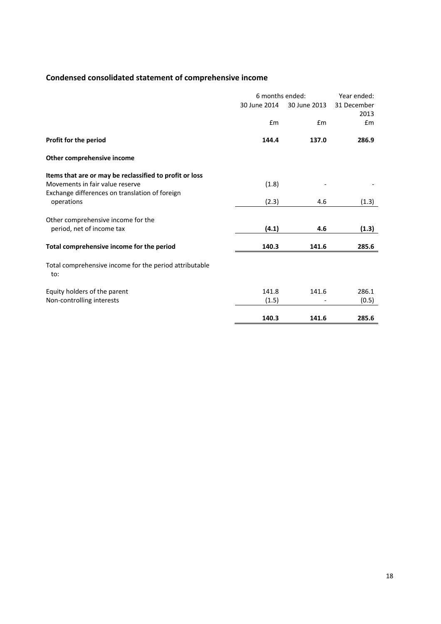# **Condensed consolidated statement of comprehensive income**

|                                                               | 6 months ended: |              | Year ended:         |  |
|---------------------------------------------------------------|-----------------|--------------|---------------------|--|
|                                                               | 30 June 2014    | 30 June 2013 | 31 December<br>2013 |  |
|                                                               | £m              | £m           | £m                  |  |
| Profit for the period                                         | 144.4           | 137.0        | 286.9               |  |
| Other comprehensive income                                    |                 |              |                     |  |
| Items that are or may be reclassified to profit or loss       |                 |              |                     |  |
| Movements in fair value reserve                               | (1.8)           |              |                     |  |
| Exchange differences on translation of foreign<br>operations  | (2.3)           | 4.6          | (1.3)               |  |
| Other comprehensive income for the                            |                 |              |                     |  |
| period, net of income tax                                     | (4.1)           | 4.6          | (1.3)               |  |
| Total comprehensive income for the period                     | 140.3           | 141.6        | 285.6               |  |
| Total comprehensive income for the period attributable<br>to: |                 |              |                     |  |
| Equity holders of the parent                                  | 141.8           | 141.6        | 286.1               |  |
| Non-controlling interests                                     | (1.5)           |              | (0.5)               |  |
|                                                               | 140.3           | 141.6        | 285.6               |  |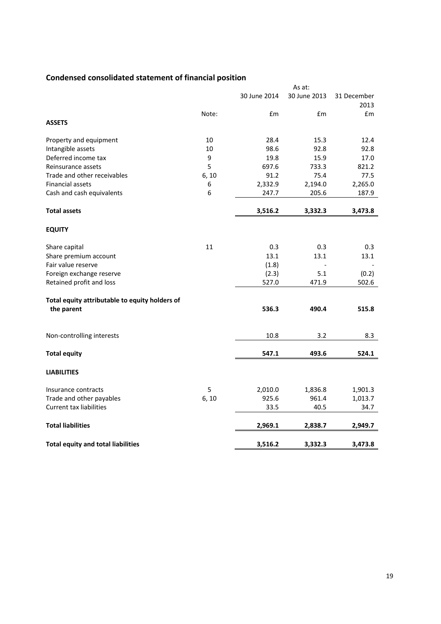# **Condensed consolidated statement of financial position**

|                                                |                  |              | As at:       |                     |
|------------------------------------------------|------------------|--------------|--------------|---------------------|
|                                                |                  | 30 June 2014 | 30 June 2013 | 31 December<br>2013 |
|                                                | Note:            | £m           | £m           | £m                  |
| <b>ASSETS</b>                                  |                  |              |              |                     |
| Property and equipment                         | 10               | 28.4         | 15.3         | 12.4                |
| Intangible assets                              | 10               | 98.6         | 92.8         | 92.8                |
| Deferred income tax                            | $\boldsymbol{9}$ | 19.8         | 15.9         | 17.0                |
| Reinsurance assets                             | 5                | 697.6        | 733.3        | 821.2               |
| Trade and other receivables                    | 6, 10            | 91.2         | 75.4         | 77.5                |
| <b>Financial assets</b>                        | 6                | 2,332.9      | 2,194.0      | 2,265.0             |
| Cash and cash equivalents                      | 6                | 247.7        | 205.6        | 187.9               |
| <b>Total assets</b>                            |                  | 3,516.2      | 3,332.3      | 3,473.8             |
| <b>EQUITY</b>                                  |                  |              |              |                     |
| Share capital                                  | 11               | 0.3          | 0.3          | 0.3                 |
| Share premium account                          |                  | 13.1         | 13.1         | 13.1                |
| Fair value reserve                             |                  | (1.8)        |              |                     |
| Foreign exchange reserve                       |                  | (2.3)        | 5.1          | (0.2)               |
| Retained profit and loss                       |                  | 527.0        | 471.9        | 502.6               |
| Total equity attributable to equity holders of |                  |              |              |                     |
| the parent                                     |                  | 536.3        | 490.4        | 515.8               |
|                                                |                  | 10.8         | 3.2          | 8.3                 |
| Non-controlling interests                      |                  |              |              |                     |
| <b>Total equity</b>                            |                  | 547.1        | 493.6        | 524.1               |
| <b>LIABILITIES</b>                             |                  |              |              |                     |
| Insurance contracts                            | 5                | 2,010.0      | 1,836.8      | 1,901.3             |
| Trade and other payables                       | 6, 10            | 925.6        | 961.4        | 1,013.7             |
| <b>Current tax liabilities</b>                 |                  | 33.5         | 40.5         | 34.7                |
| <b>Total liabilities</b>                       |                  | 2,969.1      | 2,838.7      | 2,949.7             |
| <b>Total equity and total liabilities</b>      |                  | 3,516.2      | 3,332.3      | 3,473.8             |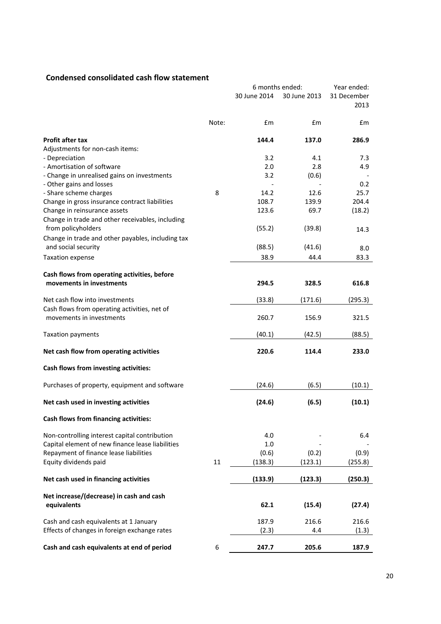## **Condensed consolidated cash flow statement**

|                                                                         |       | 6 months ended: |              | Year ended:         |
|-------------------------------------------------------------------------|-------|-----------------|--------------|---------------------|
|                                                                         |       | 30 June 2014    | 30 June 2013 | 31 December<br>2013 |
|                                                                         | Note: | Em              | £m           | £m                  |
| <b>Profit after tax</b>                                                 |       | 144.4           | 137.0        | 286.9               |
| Adjustments for non-cash items:                                         |       |                 |              |                     |
| - Depreciation                                                          |       | 3.2             | 4.1          | 7.3                 |
| - Amortisation of software                                              |       | 2.0             | 2.8          | 4.9                 |
| - Change in unrealised gains on investments<br>- Other gains and losses |       | 3.2             | (0.6)        | $0.2\,$             |
| - Share scheme charges                                                  | 8     | 14.2            | 12.6         | 25.7                |
| Change in gross insurance contract liabilities                          |       | 108.7           | 139.9        | 204.4               |
| Change in reinsurance assets                                            |       | 123.6           | 69.7         | (18.2)              |
| Change in trade and other receivables, including                        |       |                 |              |                     |
| from policyholders                                                      |       | (55.2)          | (39.8)       | 14.3                |
| Change in trade and other payables, including tax                       |       |                 |              |                     |
| and social security                                                     |       | (88.5)          | (41.6)       | 8.0                 |
| <b>Taxation expense</b>                                                 |       | 38.9            | 44.4         | 83.3                |
| Cash flows from operating activities, before                            |       |                 |              |                     |
| movements in investments                                                |       | 294.5           | 328.5        | 616.8               |
| Net cash flow into investments                                          |       | (33.8)          | (171.6)      | (295.3)             |
| Cash flows from operating activities, net of                            |       |                 |              |                     |
| movements in investments                                                |       | 260.7           | 156.9        | 321.5               |
| <b>Taxation payments</b>                                                |       | (40.1)          | (42.5)       | (88.5)              |
| Net cash flow from operating activities                                 |       | 220.6           | 114.4        | 233.0               |
| Cash flows from investing activities:                                   |       |                 |              |                     |
| Purchases of property, equipment and software                           |       | (24.6)          | (6.5)        | (10.1)              |
| Net cash used in investing activities                                   |       | (24.6)          | (6.5)        | (10.1)              |
| Cash flows from financing activities:                                   |       |                 |              |                     |
| Non-controlling interest capital contribution                           |       | 4.0             |              | 6.4                 |
| Capital element of new finance lease liabilities                        |       | 1.0             |              |                     |
| Repayment of finance lease liabilities                                  |       | (0.6)           | (0.2)        | (0.9)               |
| Equity dividends paid                                                   | 11    | (138.3)         | (123.1)      | (255.8)             |
| Net cash used in financing activities                                   |       | (133.9)         | (123.3)      | (250.3)             |
| Net increase/(decrease) in cash and cash                                |       |                 |              |                     |
| equivalents                                                             |       | 62.1            | (15.4)       | (27.4)              |
| Cash and cash equivalents at 1 January                                  |       | 187.9           | 216.6        | 216.6               |
| Effects of changes in foreign exchange rates                            |       | (2.3)           | 4.4          | (1.3)               |
| Cash and cash equivalents at end of period                              | 6     | 247.7           | 205.6        | 187.9               |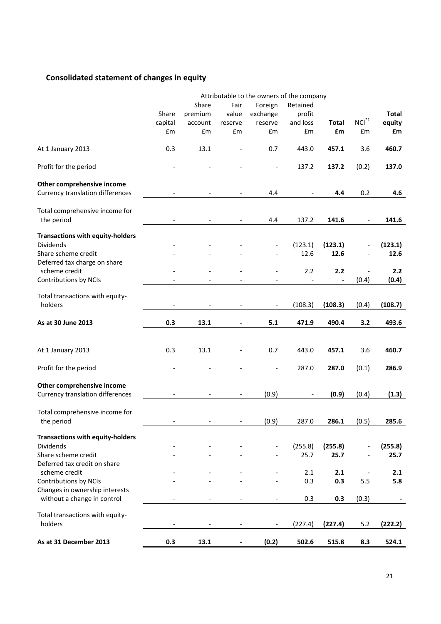# **Consolidated statement of changes in equity**

|                                         |         |                          |                              |          | Attributable to the owners of the company |              |                          |              |
|-----------------------------------------|---------|--------------------------|------------------------------|----------|-------------------------------------------|--------------|--------------------------|--------------|
|                                         |         | Share                    | Fair                         | Foreign  | Retained                                  |              |                          |              |
|                                         | Share   | premium                  | value                        | exchange | profit                                    |              |                          | <b>Total</b> |
|                                         | capital | account                  | reserve                      | reserve  | and loss                                  | <b>Total</b> | $\mathsf{NCI}^{*1}$      | equity       |
|                                         | £m      | £m                       | £m                           | £m       | £m                                        | £m           | £m                       | £m           |
| At 1 January 2013                       | 0.3     | 13.1                     |                              | 0.7      | 443.0                                     | 457.1        | 3.6                      | 460.7        |
| Profit for the period                   |         |                          |                              |          | 137.2                                     | 137.2        | (0.2)                    | 137.0        |
| Other comprehensive income              |         |                          |                              |          |                                           |              |                          |              |
| <b>Currency translation differences</b> |         |                          |                              | 4.4      |                                           | 4.4          | 0.2                      | 4.6          |
| Total comprehensive income for          |         |                          |                              |          |                                           |              |                          |              |
| the period                              |         |                          |                              | 4.4      | 137.2                                     | 141.6        |                          | 141.6        |
| <b>Transactions with equity-holders</b> |         |                          |                              |          |                                           |              |                          |              |
| <b>Dividends</b>                        |         |                          |                              |          | (123.1)                                   | (123.1)      |                          | (123.1)      |
| Share scheme credit                     |         |                          |                              |          | 12.6                                      | 12.6         |                          | 12.6         |
| Deferred tax charge on share            |         |                          |                              |          |                                           |              |                          |              |
| scheme credit                           |         |                          |                              |          | 2.2                                       | 2.2          | $\overline{a}$           | 2.2          |
| <b>Contributions by NCIs</b>            |         | $\overline{\phantom{a}}$ |                              |          |                                           |              | (0.4)                    | (0.4)        |
| Total transactions with equity-         |         |                          |                              |          |                                           |              |                          |              |
| holders                                 |         |                          |                              |          | (108.3)                                   | (108.3)      | (0.4)                    | (108.7)      |
| As at 30 June 2013                      | 0.3     | 13.1                     | $\qquad \qquad \blacksquare$ | 5.1      | 471.9                                     | 490.4        | 3.2                      | 493.6        |
|                                         |         |                          |                              |          |                                           |              |                          |              |
| At 1 January 2013                       | 0.3     | 13.1                     |                              | 0.7      | 443.0                                     | 457.1        | 3.6                      | 460.7        |
|                                         |         |                          |                              |          |                                           |              |                          |              |
| Profit for the period                   |         |                          |                              |          | 287.0                                     | 287.0        | (0.1)                    | 286.9        |
| Other comprehensive income              |         |                          |                              |          |                                           |              |                          |              |
| <b>Currency translation differences</b> |         |                          |                              | (0.9)    |                                           | (0.9)        | (0.4)                    | (1.3)        |
| Total comprehensive income for          |         |                          |                              |          |                                           |              |                          |              |
| the period                              |         |                          |                              | (0.9)    | 287.0                                     | 286.1        | (0.5)                    | 285.6        |
| <b>Transactions with equity-holders</b> |         |                          |                              |          |                                           |              |                          |              |
| <b>Dividends</b>                        |         |                          |                              |          | (255.8)                                   | (255.8)      |                          | (255.8)      |
| Share scheme credit                     |         |                          |                              |          | 25.7                                      | 25.7         |                          | 25.7         |
| Deferred tax credit on share            |         |                          |                              |          |                                           |              |                          |              |
| scheme credit                           |         |                          |                              |          | 2.1                                       | 2.1          | $\overline{\phantom{a}}$ | 2.1          |
| <b>Contributions by NCIs</b>            |         |                          |                              |          | 0.3                                       | 0.3          | 5.5                      | 5.8          |
| Changes in ownership interests          |         |                          |                              |          |                                           |              |                          |              |
| without a change in control             |         |                          |                              |          | 0.3                                       | 0.3          | (0.3)                    |              |
| Total transactions with equity-         |         |                          |                              |          |                                           |              |                          |              |
| holders                                 |         |                          | $\overline{\phantom{a}}$     |          | (227.4)                                   | (227.4)      | 5.2                      | (222.2)      |
| As at 31 December 2013                  | 0.3     | 13.1                     | $\blacksquare$               | (0.2)    | 502.6                                     | 515.8        | 8.3                      | 524.1        |
|                                         |         |                          |                              |          |                                           |              |                          |              |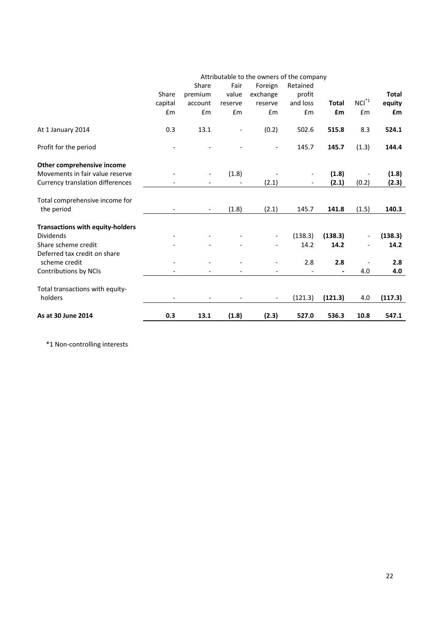|                                         |         |         |         |          | Attributable to the owners of the company |              |         |              |
|-----------------------------------------|---------|---------|---------|----------|-------------------------------------------|--------------|---------|--------------|
|                                         |         | Share   | Fair    | Foreign  | Retained                                  |              |         |              |
|                                         | Share   | premium | value   | exchange | profit                                    |              |         | <b>Total</b> |
|                                         | capital | account | reserve | reserve  | and loss                                  | <b>Total</b> | $NCI^*$ | equity       |
|                                         | £m      | £m      | £m      | £m       | Em                                        | £m           | £m      | £m           |
| At 1 January 2014                       | 0.3     | 13.1    |         | (0.2)    | 502.6                                     | 515.8        | 8.3     | 524.1        |
| Profit for the period                   |         |         |         |          | 145.7                                     | 145.7        | (1.3)   | 144.4        |
| Other comprehensive income              |         |         |         |          |                                           |              |         |              |
| Movements in fair value reserve         |         |         | (1.8)   |          |                                           | (1.8)        |         | (1.8)        |
| <b>Currency translation differences</b> |         |         |         | (2.1)    |                                           | (2.1)        | (0.2)   | (2.3)        |
|                                         |         |         |         |          |                                           |              |         |              |
| Total comprehensive income for          |         |         |         |          |                                           |              |         |              |
| the period                              |         |         | (1.8)   | (2.1)    | 145.7                                     | 141.8        | (1.5)   | 140.3        |
|                                         |         |         |         |          |                                           |              |         |              |
| <b>Transactions with equity-holders</b> |         |         |         |          |                                           |              |         |              |
| <b>Dividends</b>                        |         |         |         |          | (138.3)                                   | (138.3)      |         | (138.3)      |
| Share scheme credit                     |         |         |         |          | 14.2                                      | 14.2         |         | 14.2         |
| Deferred tax credit on share            |         |         |         |          |                                           |              |         |              |
| scheme credit                           |         |         |         |          | 2.8                                       | 2.8          |         | 2.8          |
| Contributions by NCIs                   |         |         |         |          |                                           |              | 4.0     | 4.0          |
| Total transactions with equity-         |         |         |         |          |                                           |              |         |              |
| holders                                 |         |         |         |          | (121.3)                                   | (121.3)      | 4.0     | (117.3)      |
|                                         |         |         |         |          |                                           |              |         |              |
| As at 30 June 2014                      | 0.3     | 13.1    | (1.8)   | (2.3)    | 527.0                                     | 536.3        | 10.8    | 547.1        |

\*1 Non-controlling interests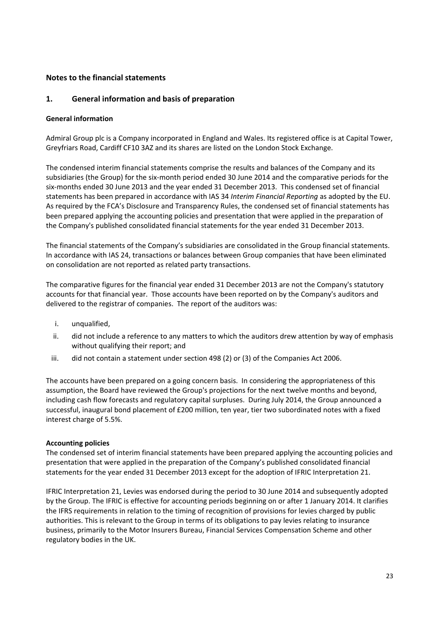## **Notes to the financial statements**

## **1. General information and basis of preparation**

#### **General information**

Admiral Group plc is a Company incorporated in England and Wales. Its registered office is at Capital Tower, Greyfriars Road, Cardiff CF10 3AZ and its shares are listed on the London Stock Exchange.

The condensed interim financial statements comprise the results and balances of the Company and its subsidiaries (the Group) for the six-month period ended 30 June 2014 and the comparative periods for the six-months ended 30 June 2013 and the year ended 31 December 2013. This condensed set of financial statements has been prepared in accordance with IAS 34 *Interim Financial Reporting* as adopted by the EU. As required by the FCA's Disclosure and Transparency Rules, the condensed set of financial statements has been prepared applying the accounting policies and presentation that were applied in the preparation of the Company's published consolidated financial statements for the year ended 31 December 2013.

The financial statements of the Company's subsidiaries are consolidated in the Group financial statements. In accordance with IAS 24, transactions or balances between Group companies that have been eliminated on consolidation are not reported as related party transactions.

The comparative figures for the financial year ended 31 December 2013 are not the Company's statutory accounts for that financial year. Those accounts have been reported on by the Company's auditors and delivered to the registrar of companies. The report of the auditors was:

- i. unqualified,
- ii. did not include a reference to any matters to which the auditors drew attention by way of emphasis without qualifying their report; and
- iii. did not contain a statement under section 498 (2) or (3) of the Companies Act 2006.

The accounts have been prepared on a going concern basis. In considering the appropriateness of this assumption, the Board have reviewed the Group's projections for the next twelve months and beyond, including cash flow forecasts and regulatory capital surpluses. During July 2014, the Group announced a successful, inaugural bond placement of £200 million, ten year, tier two subordinated notes with a fixed interest charge of 5.5%.

#### **Accounting policies**

The condensed set of interim financial statements have been prepared applying the accounting policies and presentation that were applied in the preparation of the Company's published consolidated financial statements for the year ended 31 December 2013 except for the adoption of IFRIC Interpretation 21.

IFRIC Interpretation 21, Levies was endorsed during the period to 30 June 2014 and subsequently adopted by the Group. The IFRIC is effective for accounting periods beginning on or after 1 January 2014. It clarifies the IFRS requirements in relation to the timing of recognition of provisions for levies charged by public authorities. This is relevant to the Group in terms of its obligations to pay levies relating to insurance business, primarily to the Motor Insurers Bureau, Financial Services Compensation Scheme and other regulatory bodies in the UK.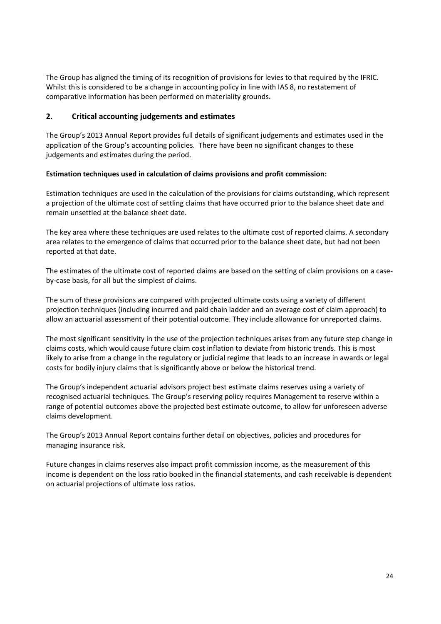The Group has aligned the timing of its recognition of provisions for levies to that required by the IFRIC. Whilst this is considered to be a change in accounting policy in line with IAS 8, no restatement of comparative information has been performed on materiality grounds.

## **2. Critical accounting judgements and estimates**

The Group's 2013 Annual Report provides full details of significant judgements and estimates used in the application of the Group's accounting policies. There have been no significant changes to these judgements and estimates during the period.

## **Estimation techniques used in calculation of claims provisions and profit commission:**

Estimation techniques are used in the calculation of the provisions for claims outstanding, which represent a projection of the ultimate cost of settling claims that have occurred prior to the balance sheet date and remain unsettled at the balance sheet date.

The key area where these techniques are used relates to the ultimate cost of reported claims. A secondary area relates to the emergence of claims that occurred prior to the balance sheet date, but had not been reported at that date.

The estimates of the ultimate cost of reported claims are based on the setting of claim provisions on a caseby-case basis, for all but the simplest of claims.

The sum of these provisions are compared with projected ultimate costs using a variety of different projection techniques (including incurred and paid chain ladder and an average cost of claim approach) to allow an actuarial assessment of their potential outcome. They include allowance for unreported claims.

The most significant sensitivity in the use of the projection techniques arises from any future step change in claims costs, which would cause future claim cost inflation to deviate from historic trends. This is most likely to arise from a change in the regulatory or judicial regime that leads to an increase in awards or legal costs for bodily injury claims that is significantly above or below the historical trend.

The Group's independent actuarial advisors project best estimate claims reserves using a variety of recognised actuarial techniques. The Group's reserving policy requires Management to reserve within a range of potential outcomes above the projected best estimate outcome, to allow for unforeseen adverse claims development.

The Group's 2013 Annual Report contains further detail on objectives, policies and procedures for managing insurance risk.

Future changes in claims reserves also impact profit commission income, as the measurement of this income is dependent on the loss ratio booked in the financial statements, and cash receivable is dependent on actuarial projections of ultimate loss ratios.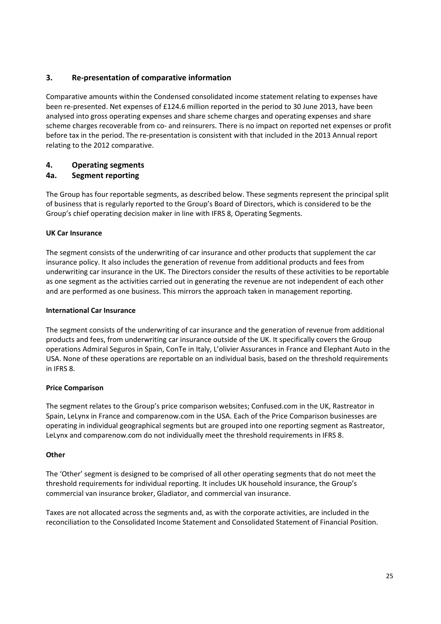## **3. Re-presentation of comparative information**

Comparative amounts within the Condensed consolidated income statement relating to expenses have been re-presented. Net expenses of £124.6 million reported in the period to 30 June 2013, have been analysed into gross operating expenses and share scheme charges and operating expenses and share scheme charges recoverable from co- and reinsurers. There is no impact on reported net expenses or profit before tax in the period. The re-presentation is consistent with that included in the 2013 Annual report relating to the 2012 comparative.

## **4. Operating segments**

## **4a. Segment reporting**

The Group has four reportable segments, as described below. These segments represent the principal split of business that is regularly reported to the Group's Board of Directors, which is considered to be the Group's chief operating decision maker in line with IFRS 8, Operating Segments.

## **UK Car Insurance**

The segment consists of the underwriting of car insurance and other products that supplement the car insurance policy. It also includes the generation of revenue from additional products and fees from underwriting car insurance in the UK. The Directors consider the results of these activities to be reportable as one segment as the activities carried out in generating the revenue are not independent of each other and are performed as one business. This mirrors the approach taken in management reporting.

#### **International Car Insurance**

The segment consists of the underwriting of car insurance and the generation of revenue from additional products and fees, from underwriting car insurance outside of the UK. It specifically covers the Group operations Admiral Seguros in Spain, ConTe in Italy, L'olivier Assurances in France and Elephant Auto in the USA. None of these operations are reportable on an individual basis, based on the threshold requirements in IFRS 8.

## **Price Comparison**

The segment relates to the Group's price comparison websites; Confused.com in the UK, Rastreator in Spain, LeLynx in France and comparenow.com in the USA. Each of the Price Comparison businesses are operating in individual geographical segments but are grouped into one reporting segment as Rastreator, LeLynx and comparenow.com do not individually meet the threshold requirements in IFRS 8.

#### **Other**

The 'Other' segment is designed to be comprised of all other operating segments that do not meet the threshold requirements for individual reporting. It includes UK household insurance, the Group's commercial van insurance broker, Gladiator, and commercial van insurance.

Taxes are not allocated across the segments and, as with the corporate activities, are included in the reconciliation to the Consolidated Income Statement and Consolidated Statement of Financial Position.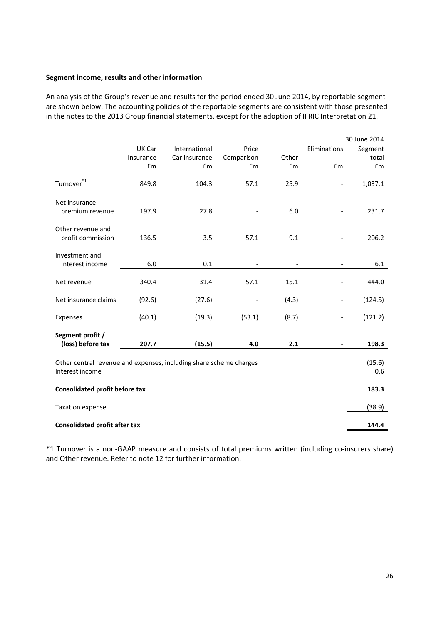#### **Segment income, results and other information**

An analysis of the Group's revenue and results for the period ended 30 June 2014, by reportable segment are shown below. The accounting policies of the reportable segments are consistent with those presented in the notes to the 2013 Group financial statements, except for the adoption of IFRIC Interpretation 21.

|                                                                                       |           |               |            |       |                              | 30 June 2014  |
|---------------------------------------------------------------------------------------|-----------|---------------|------------|-------|------------------------------|---------------|
|                                                                                       | UK Car    | International | Price      |       | Eliminations                 | Segment       |
|                                                                                       | Insurance | Car Insurance | Comparison | Other |                              | total         |
|                                                                                       | £m        | £m            | £m         | £m    | £m                           | £m            |
| Turnover <sup>*1</sup>                                                                | 849.8     | 104.3         | 57.1       | 25.9  | $\qquad \qquad \blacksquare$ | 1,037.1       |
| Net insurance<br>premium revenue                                                      | 197.9     | 27.8          |            | 6.0   |                              | 231.7         |
| Other revenue and<br>profit commission                                                | 136.5     | 3.5           | 57.1       | 9.1   |                              | 206.2         |
| Investment and<br>interest income                                                     | 6.0       | 0.1           |            |       |                              | 6.1           |
| Net revenue                                                                           | 340.4     | 31.4          | 57.1       | 15.1  |                              | 444.0         |
| Net insurance claims                                                                  | (92.6)    | (27.6)        |            | (4.3) |                              | (124.5)       |
| Expenses                                                                              | (40.1)    | (19.3)        | (53.1)     | (8.7) | $\overline{\phantom{a}}$     | (121.2)       |
| Segment profit /<br>(loss) before tax                                                 | 207.7     | (15.5)        | 4.0        | 2.1   |                              | 198.3         |
| Other central revenue and expenses, including share scheme charges<br>Interest income |           |               |            |       |                              | (15.6)<br>0.6 |
| <b>Consolidated profit before tax</b>                                                 |           |               |            |       |                              | 183.3         |
| Taxation expense                                                                      |           |               |            |       |                              | (38.9)        |
| <b>Consolidated profit after tax</b>                                                  |           |               |            |       |                              | 144.4         |

\*1 Turnover is a non-GAAP measure and consists of total premiums written (including co-insurers share) and Other revenue. Refer to note 12 for further information.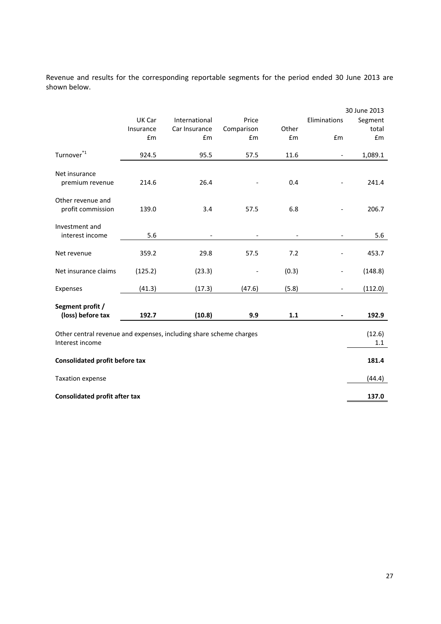Revenue and results for the corresponding reportable segments for the period ended 30 June 2013 are shown below.

|                                                                                       |           |                          |            |       |                          | 30 June 2013  |
|---------------------------------------------------------------------------------------|-----------|--------------------------|------------|-------|--------------------------|---------------|
|                                                                                       | UK Car    | International            | Price      |       | Eliminations             | Segment       |
|                                                                                       | Insurance | Car Insurance            | Comparison | Other |                          | total         |
|                                                                                       | £m        | £m                       | £m         | £m    | £m                       | £m            |
| Turnover <sup>*1</sup>                                                                | 924.5     | 95.5                     | 57.5       | 11.6  | $\overline{\phantom{a}}$ | 1,089.1       |
| Net insurance<br>premium revenue                                                      | 214.6     | 26.4                     |            | 0.4   |                          | 241.4         |
| Other revenue and<br>profit commission                                                | 139.0     | 3.4                      | 57.5       | 6.8   |                          | 206.7         |
| Investment and<br>interest income                                                     | 5.6       | $\overline{\phantom{a}}$ |            |       |                          | 5.6           |
| Net revenue                                                                           | 359.2     | 29.8                     | 57.5       | 7.2   |                          | 453.7         |
| Net insurance claims                                                                  | (125.2)   | (23.3)                   |            | (0.3) |                          | (148.8)       |
| Expenses                                                                              | (41.3)    | (17.3)                   | (47.6)     | (5.8) |                          | (112.0)       |
| Segment profit /<br>(loss) before tax                                                 | 192.7     | (10.8)                   | 9.9        | $1.1$ |                          | 192.9         |
| Other central revenue and expenses, including share scheme charges<br>Interest income |           |                          |            |       |                          | (12.6)<br>1.1 |
| <b>Consolidated profit before tax</b>                                                 |           |                          |            |       |                          | 181.4         |
| Taxation expense                                                                      |           |                          |            |       |                          | (44.4)        |
| <b>Consolidated profit after tax</b>                                                  |           |                          |            |       |                          | 137.0         |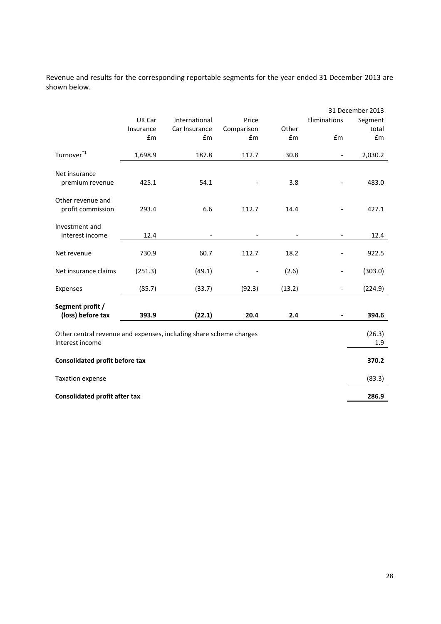Revenue and results for the corresponding reportable segments for the year ended 31 December 2013 are shown below.

|                                                                                       |           |               |            |        |                          | 31 December 2013 |
|---------------------------------------------------------------------------------------|-----------|---------------|------------|--------|--------------------------|------------------|
|                                                                                       | UK Car    | International | Price      |        | Eliminations             | Segment          |
|                                                                                       | Insurance | Car Insurance | Comparison | Other  |                          | total            |
|                                                                                       | £m        | £m            | £m         | £m     | £m                       | £m               |
| Turnover <sup>*1</sup>                                                                | 1,698.9   | 187.8         | 112.7      | 30.8   | $\overline{\phantom{a}}$ | 2,030.2          |
| Net insurance<br>premium revenue                                                      | 425.1     | 54.1          |            | 3.8    |                          | 483.0            |
| Other revenue and<br>profit commission                                                | 293.4     | 6.6           | 112.7      | 14.4   |                          | 427.1            |
| Investment and<br>interest income                                                     | 12.4      |               |            |        | $\qquad \qquad -$        | 12.4             |
| Net revenue                                                                           | 730.9     | 60.7          | 112.7      | 18.2   |                          | 922.5            |
| Net insurance claims                                                                  | (251.3)   | (49.1)        |            | (2.6)  |                          | (303.0)          |
| Expenses                                                                              | (85.7)    | (33.7)        | (92.3)     | (13.2) |                          | (224.9)          |
| Segment profit /<br>(loss) before tax                                                 | 393.9     | (22.1)        | 20.4       | 2.4    |                          | 394.6            |
| Other central revenue and expenses, including share scheme charges<br>Interest income |           |               |            |        |                          | (26.3)<br>1.9    |
| <b>Consolidated profit before tax</b>                                                 |           |               |            |        |                          | 370.2            |
| Taxation expense                                                                      |           |               |            |        |                          | (83.3)           |
| <b>Consolidated profit after tax</b>                                                  |           |               |            |        |                          | 286.9            |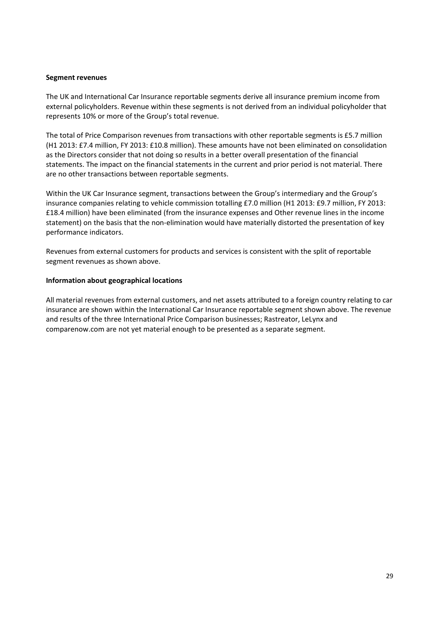#### **Segment revenues**

The UK and International Car Insurance reportable segments derive all insurance premium income from external policyholders. Revenue within these segments is not derived from an individual policyholder that represents 10% or more of the Group's total revenue.

The total of Price Comparison revenues from transactions with other reportable segments is £5.7 million (H1 2013: £7.4 million, FY 2013: £10.8 million). These amounts have not been eliminated on consolidation as the Directors consider that not doing so results in a better overall presentation of the financial statements. The impact on the financial statements in the current and prior period is not material. There are no other transactions between reportable segments.

Within the UK Car Insurance segment, transactions between the Group's intermediary and the Group's insurance companies relating to vehicle commission totalling £7.0 million (H1 2013: £9.7 million, FY 2013: £18.4 million) have been eliminated (from the insurance expenses and Other revenue lines in the income statement) on the basis that the non-elimination would have materially distorted the presentation of key performance indicators.

Revenues from external customers for products and services is consistent with the split of reportable segment revenues as shown above.

#### **Information about geographical locations**

All material revenues from external customers, and net assets attributed to a foreign country relating to car insurance are shown within the International Car Insurance reportable segment shown above. The revenue and results of the three International Price Comparison businesses; Rastreator, LeLynx and comparenow.com are not yet material enough to be presented as a separate segment.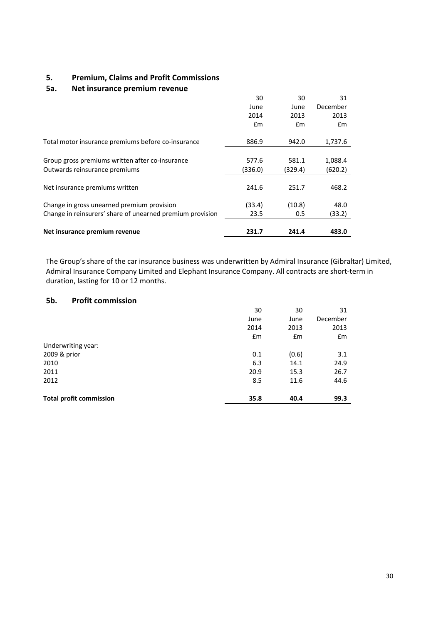## **5. Premium, Claims and Profit Commissions**

#### **5a. Net insurance premium revenue**

|                                                           | 30      | 30      | 31       |
|-----------------------------------------------------------|---------|---------|----------|
|                                                           | June    | June    | December |
|                                                           | 2014    | 2013    | 2013     |
|                                                           | £m      | Em      | £m       |
| Total motor insurance premiums before co-insurance        | 886.9   | 942.0   | 1,737.6  |
|                                                           |         |         |          |
| Group gross premiums written after co-insurance           | 577.6   | 581.1   | 1,088.4  |
| Outwards reinsurance premiums                             | (336.0) | (329.4) | (620.2)  |
|                                                           |         |         |          |
| Net insurance premiums written                            | 241.6   | 251.7   | 468.2    |
| Change in gross unearned premium provision                | (33.4)  | (10.8)  | 48.0     |
| Change in reinsurers' share of unearned premium provision | 23.5    | 0.5     | (33.2)   |
|                                                           |         |         |          |
| Net insurance premium revenue                             | 231.7   | 241.4   | 483.0    |

The Group's share of the car insurance business was underwritten by Admiral Insurance (Gibraltar) Limited, Admiral Insurance Company Limited and Elephant Insurance Company. All contracts are short-term in duration, lasting for 10 or 12 months.

## **5b. Profit commission**

| 35.8 | 40.4  | 99.3     |
|------|-------|----------|
| 8.5  | 11.6  | 44.6     |
| 20.9 | 15.3  | 26.7     |
| 6.3  | 14.1  | 24.9     |
| 0.1  | (0.6) | 3.1      |
|      |       |          |
| £m   | £m    | £m       |
| 2014 | 2013  | 2013     |
| June | June  | December |
| 30   | 30    | 31       |
|      |       |          |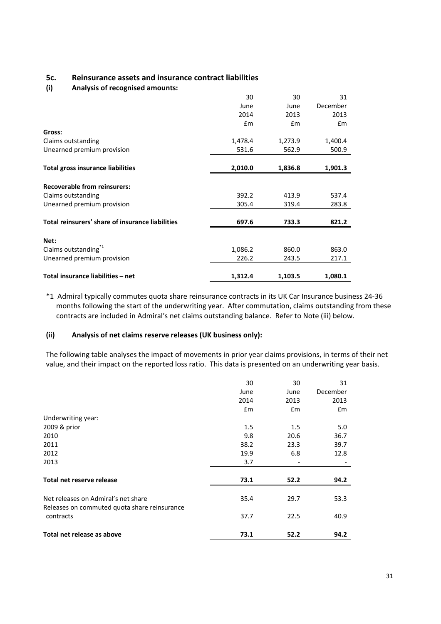## **5c. Reinsurance assets and insurance contract liabilities**

#### **(i) Analysis of recognised amounts:**

|                                                  | 30            | 30      | 31            |
|--------------------------------------------------|---------------|---------|---------------|
|                                                  | June          | June    | December      |
|                                                  | 2014          | 2013    | 2013          |
|                                                  | $\mathsf{fm}$ | Em      | $\mathsf{fm}$ |
| Gross:                                           |               |         |               |
| Claims outstanding                               | 1,478.4       | 1,273.9 | 1,400.4       |
| Unearned premium provision                       | 531.6         | 562.9   | 500.9         |
| <b>Total gross insurance liabilities</b>         | 2,010.0       | 1,836.8 | 1,901.3       |
|                                                  |               |         |               |
| <b>Recoverable from reinsurers:</b>              |               |         |               |
| Claims outstanding                               | 392.2         | 413.9   | 537.4         |
| Unearned premium provision                       | 305.4         | 319.4   | 283.8         |
| Total reinsurers' share of insurance liabilities | 697.6         | 733.3   | 821.2         |
| Net:                                             |               |         |               |
| Claims outstanding <sup>*1</sup>                 | 1,086.2       | 860.0   | 863.0         |
|                                                  |               |         |               |
| Unearned premium provision                       | 226.2         | 243.5   | 217.1         |
| Total insurance liabilities - net                | 1,312.4       | 1,103.5 | 1,080.1       |

\*1 Admiral typically commutes quota share reinsurance contracts in its UK Car Insurance business 24-36 months following the start of the underwriting year. After commutation, claims outstanding from these contracts are included in Admiral's net claims outstanding balance. Refer to Note (iii) below.

#### **(ii) Analysis of net claims reserve releases (UK business only):**

The following table analyses the impact of movements in prior year claims provisions, in terms of their net value, and their impact on the reported loss ratio. This data is presented on an underwriting year basis.

|                                                                                     | 30            | 30   | 31       |
|-------------------------------------------------------------------------------------|---------------|------|----------|
|                                                                                     | June          | June | December |
|                                                                                     | 2014          | 2013 | 2013     |
|                                                                                     | $\mathsf{fm}$ | £m   | £m       |
| Underwriting year:                                                                  |               |      |          |
| 2009 & prior                                                                        | 1.5           | 1.5  | 5.0      |
| 2010                                                                                | 9.8           | 20.6 | 36.7     |
| 2011                                                                                | 38.2          | 23.3 | 39.7     |
| 2012                                                                                | 19.9          | 6.8  | 12.8     |
| 2013                                                                                | 3.7           |      |          |
|                                                                                     |               |      |          |
| Total net reserve release                                                           | 73.1          | 52.2 | 94.2     |
| Net releases on Admiral's net share<br>Releases on commuted quota share reinsurance | 35.4          | 29.7 | 53.3     |
| contracts                                                                           | 37.7          | 22.5 | 40.9     |
| Total net release as above                                                          | 73.1          | 52.2 | 94.2     |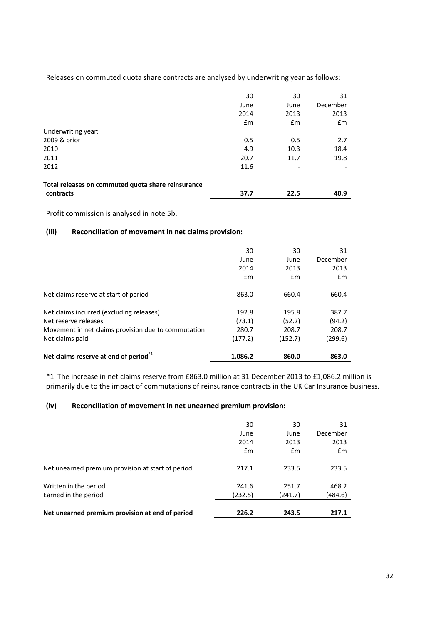Releases on commuted quota share contracts are analysed by underwriting year as follows:

|                                                    | 30   | 30                       | 31            |
|----------------------------------------------------|------|--------------------------|---------------|
|                                                    | June | June                     | December      |
|                                                    | 2014 | 2013                     | 2013          |
|                                                    | £m   | Em                       | $\mathsf{fm}$ |
| Underwriting year:                                 |      |                          |               |
| 2009 & prior                                       | 0.5  | 0.5                      | 2.7           |
| 2010                                               | 4.9  | 10.3                     | 18.4          |
| 2011                                               | 20.7 | 11.7                     | 19.8          |
| 2012                                               | 11.6 | $\overline{\phantom{a}}$ |               |
| Total releases on commuted quota share reinsurance |      |                          |               |
| contracts                                          | 37.7 | 22.5                     | 40.9          |

Profit commission is analysed in note 5b.

## **(iii) Reconciliation of movement in net claims provision:**

|                                                     | 30<br>June<br>2014 | 30<br>June<br>2013 | 31<br>December<br>2013 |
|-----------------------------------------------------|--------------------|--------------------|------------------------|
|                                                     | fm                 | Em                 | Em                     |
|                                                     |                    |                    |                        |
| Net claims reserve at start of period               | 863.0              | 660.4              | 660.4                  |
| Net claims incurred (excluding releases)            | 192.8              | 195.8              | 387.7                  |
| Net reserve releases                                | (73.1)             | (52.2)             | (94.2)                 |
| Movement in net claims provision due to commutation | 280.7              | 208.7              | 208.7                  |
| Net claims paid                                     | (177.2)            | (152.7)            | (299.6)                |
|                                                     |                    |                    |                        |
| Net claims reserve at end of period <sup>11</sup>   | 1,086.2            | 860.0              | 863.0                  |

\*1 The increase in net claims reserve from £863.0 million at 31 December 2013 to £1,086.2 million is primarily due to the impact of commutations of reinsurance contracts in the UK Car Insurance business.

#### **(iv) Reconciliation of movement in net unearned premium provision:**

|                                                   | 30      | 30      | 31             |
|---------------------------------------------------|---------|---------|----------------|
|                                                   | June    | June    | December       |
|                                                   | 2014    | 2013    | 2013           |
|                                                   | Em      | Em      | $\mathbf{f}$ m |
| Net unearned premium provision at start of period | 217.1   | 233.5   | 233.5          |
| Written in the period                             | 241.6   | 251.7   | 468.2          |
| Earned in the period                              | (232.5) | (241.7) | (484.6)        |
|                                                   |         |         |                |
| Net unearned premium provision at end of period   | 226.2   | 243.5   | 217.1          |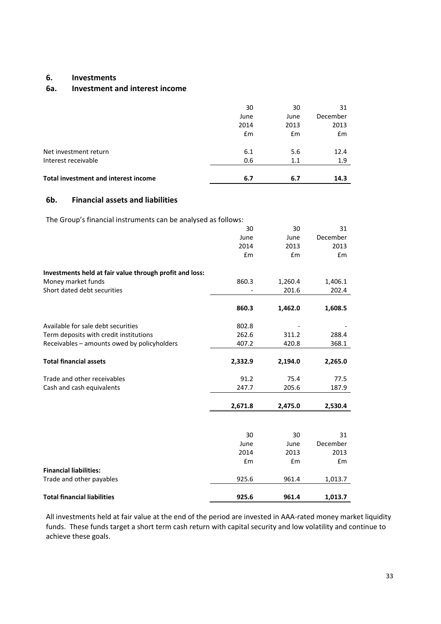#### **6. Investments**

#### **6a. Investment and interest income**

| Total investment and interest income | 6.7  | 6.7  | 14.3     |
|--------------------------------------|------|------|----------|
| Interest receivable                  | 0.6  | 1.1  | 1.9      |
| Net investment return                | 6.1  | 5.6  | 12.4     |
|                                      | Em   | £m   | Em       |
|                                      | 2014 | 2013 | 2013     |
|                                      | June | June | December |
|                                      | 30   | 30   | 31       |
|                                      |      |      |          |

## **6b. Financial assets and liabilities**

| The Group's financial instruments can be analysed as follows: |         |         |          |
|---------------------------------------------------------------|---------|---------|----------|
|                                                               | 30      | 30      | 31       |
|                                                               | June    | June    | December |
|                                                               | 2014    | 2013    | 2013     |
|                                                               | £m      | £m      | £m       |
| Investments held at fair value through profit and loss:       |         |         |          |
| Money market funds                                            | 860.3   | 1,260.4 | 1,406.1  |
| Short dated debt securities                                   |         | 201.6   | 202.4    |
|                                                               | 860.3   | 1,462.0 | 1,608.5  |
| Available for sale debt securities                            | 802.8   |         |          |
| Term deposits with credit institutions                        | 262.6   | 311.2   | 288.4    |
| Receivables - amounts owed by policyholders                   | 407.2   | 420.8   | 368.1    |
|                                                               |         |         |          |
| <b>Total financial assets</b>                                 | 2,332.9 | 2,194.0 | 2,265.0  |
| Trade and other receivables                                   | 91.2    | 75.4    | 77.5     |
| Cash and cash equivalents                                     | 247.7   | 205.6   | 187.9    |
|                                                               | 2,671.8 | 2,475.0 | 2,530.4  |
|                                                               |         |         |          |
|                                                               | 30      | 30      | 31       |
|                                                               | June    | June    | December |
|                                                               | 2014    | 2013    | 2013     |
|                                                               | £m      | £m      | £m       |
| <b>Financial liabilities:</b>                                 |         |         |          |
| Trade and other payables                                      | 925.6   | 961.4   | 1,013.7  |
| <b>Total financial liabilities</b>                            | 925.6   | 961.4   | 1,013.7  |

All investments held at fair value at the end of the period are invested in AAA-rated money market liquidity funds. These funds target a short term cash return with capital security and low volatility and continue to achieve these goals.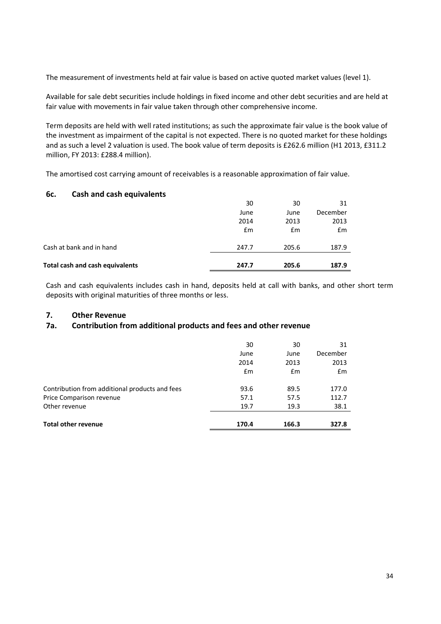The measurement of investments held at fair value is based on active quoted market values (level 1).

Available for sale debt securities include holdings in fixed income and other debt securities and are held at fair value with movements in fair value taken through other comprehensive income.

Term deposits are held with well rated institutions; as such the approximate fair value is the book value of the investment as impairment of the capital is not expected. There is no quoted market for these holdings and as such a level 2 valuation is used. The book value of term deposits is £262.6 million (H1 2013, £311.2 million, FY 2013: £288.4 million).

The amortised cost carrying amount of receivables is a reasonable approximation of fair value.

## **6c. Cash and cash equivalents**

| <b>Total cash and cash equivalents</b> | 247.7 | 205.6 | 187.9    |
|----------------------------------------|-------|-------|----------|
| Cash at bank and in hand               | 247.7 | 205.6 | 187.9    |
|                                        | Em    | £m    | Em       |
|                                        | 2014  | 2013  | 2013     |
|                                        | June  | June  | December |
|                                        | 30    | 30    | 31       |

Cash and cash equivalents includes cash in hand, deposits held at call with banks, and other short term deposits with original maturities of three months or less.

#### **7. Other Revenue**

## **7a. Contribution from additional products and fees and other revenue**

| <b>Total other revenue</b>                     | 170.4 | 166.3 | 327.8    |
|------------------------------------------------|-------|-------|----------|
|                                                |       |       |          |
| Other revenue                                  | 19.7  | 19.3  | 38.1     |
| Price Comparison revenue                       | 57.1  | 57.5  | 112.7    |
| Contribution from additional products and fees | 93.6  | 89.5  | 177.0    |
|                                                | £m    | Em    | Em       |
|                                                | 2014  | 2013  | 2013     |
|                                                | June  | June  | December |
|                                                | 30    | 30    | 31       |
|                                                |       |       |          |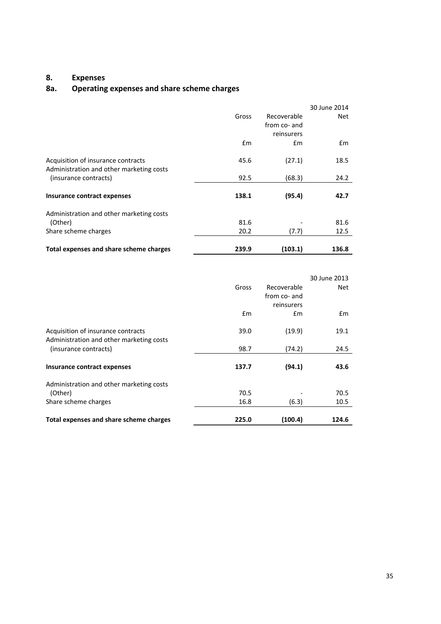# **8. Expenses**

# **8a. Operating expenses and share scheme charges**

|                                          |       |              | 30 June 2014 |
|------------------------------------------|-------|--------------|--------------|
|                                          | Gross | Recoverable  | Net          |
|                                          |       | from co- and |              |
|                                          |       | reinsurers   |              |
|                                          | Em    | Em           | £m           |
| Acquisition of insurance contracts       | 45.6  | (27.1)       | 18.5         |
| Administration and other marketing costs |       |              |              |
| (insurance contracts)                    | 92.5  | (68.3)       | 24.2         |
|                                          |       |              |              |
| Insurance contract expenses              | 138.1 | (95.4)       | 42.7         |
| Administration and other marketing costs |       |              |              |
| (Other)                                  | 81.6  |              | 81.6         |
| Share scheme charges                     | 20.2  | (7.7)        | 12.5         |
| Total expenses and share scheme charges  | 239.9 | (103.1)      | 136.8        |

|                                          |       |              | 30 June 2013 |
|------------------------------------------|-------|--------------|--------------|
|                                          | Gross | Recoverable  | Net          |
|                                          |       | from co- and |              |
|                                          |       | reinsurers   |              |
|                                          | Em    | £m           | Em           |
| Acquisition of insurance contracts       | 39.0  | (19.9)       | 19.1         |
| Administration and other marketing costs |       |              |              |
| (insurance contracts)                    | 98.7  | (74.2)       | 24.5         |
|                                          |       |              |              |
| Insurance contract expenses              | 137.7 | (94.1)       | 43.6         |
| Administration and other marketing costs |       |              |              |
| (Other)                                  | 70.5  |              | 70.5         |
| Share scheme charges                     | 16.8  | (6.3)        | 10.5         |
|                                          |       |              |              |
| Total expenses and share scheme charges  | 225.0 | (100.4)      | 124.6        |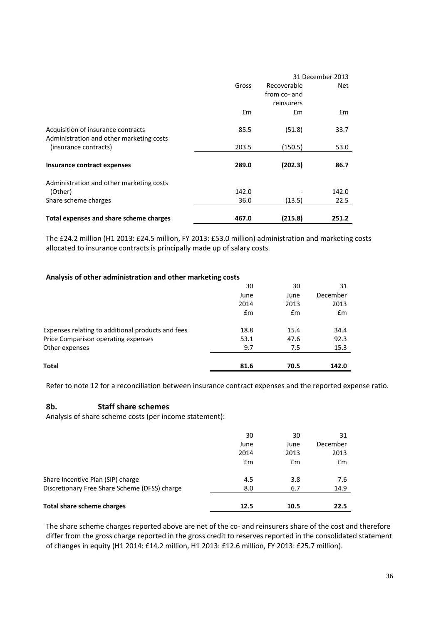|                                          |       |              | 31 December 2013 |
|------------------------------------------|-------|--------------|------------------|
|                                          | Gross | Recoverable  | Net              |
|                                          |       | from co- and |                  |
|                                          |       | reinsurers   |                  |
|                                          | £m    | Em           | Em               |
| Acquisition of insurance contracts       | 85.5  | (51.8)       | 33.7             |
| Administration and other marketing costs |       |              |                  |
| (insurance contracts)                    | 203.5 | (150.5)      | 53.0             |
|                                          |       |              |                  |
| Insurance contract expenses              | 289.0 | (202.3)      | 86.7             |
| Administration and other marketing costs |       |              |                  |
| (Other)                                  | 142.0 |              | 142.0            |
| Share scheme charges                     | 36.0  | (13.5)       | 22.5             |
| Total expenses and share scheme charges  | 467.0 | (215.8)      | 251.2            |

The £24.2 million (H1 2013: £24.5 million, FY 2013: £53.0 million) administration and marketing costs allocated to insurance contracts is principally made up of salary costs.

#### **Analysis of other administration and other marketing costs**

| Total                                             | 81.6 | 70.5 | 142.0    |
|---------------------------------------------------|------|------|----------|
| Other expenses                                    | 9.7  | 7.5  | 15.3     |
| Price Comparison operating expenses               | 53.1 | 47.6 | 92.3     |
| Expenses relating to additional products and fees | 18.8 | 15.4 | 34.4     |
|                                                   | Em   | £m   | Em       |
|                                                   | 2014 | 2013 | 2013     |
|                                                   | June | June | December |
|                                                   | 30   | 30   | 31       |

Refer to note 12 for a reconciliation between insurance contract expenses and the reported expense ratio.

#### **8b. Staff share schemes**

Analysis of share scheme costs (per income statement):

| <b>Total share scheme charges</b>             | 12.5 | 10.5 | 22.5     |
|-----------------------------------------------|------|------|----------|
| Discretionary Free Share Scheme (DFSS) charge | 8.0  | 6.7  | 14.9     |
| Share Incentive Plan (SIP) charge             | 4.5  | 3.8  | 7.6      |
|                                               |      |      |          |
|                                               | Em   | £m   | Em       |
|                                               | 2014 | 2013 | 2013     |
|                                               | June | June | December |
|                                               | 30   | 30   | 31       |
|                                               |      |      |          |

The share scheme charges reported above are net of the co- and reinsurers share of the cost and therefore differ from the gross charge reported in the gross credit to reserves reported in the consolidated statement of changes in equity (H1 2014: £14.2 million, H1 2013: £12.6 million, FY 2013: £25.7 million).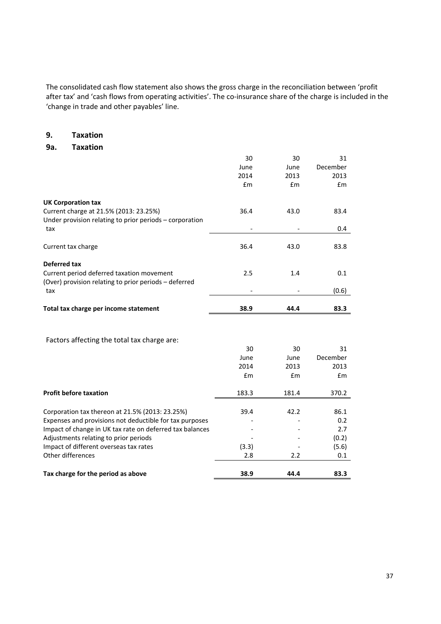The consolidated cash flow statement also shows the gross charge in the reconciliation between 'profit after tax' and 'cash flows from operating activities'. The co-insurance share of the charge is included in the 'change in trade and other payables' line.

## **9. Taxation**

#### **9a. Taxation**

|                                                                                                            | 30    | 30    | 31          |
|------------------------------------------------------------------------------------------------------------|-------|-------|-------------|
|                                                                                                            | June  | June  | December    |
|                                                                                                            | 2014  | 2013  | 2013        |
|                                                                                                            | £m    | £m    | £m          |
| <b>UK Corporation tax</b>                                                                                  |       |       |             |
| Current charge at 21.5% (2013: 23.25%)                                                                     | 36.4  | 43.0  | 83.4        |
| Under provision relating to prior periods – corporation                                                    |       |       | 0.4         |
| tax                                                                                                        |       |       |             |
| Current tax charge                                                                                         | 36.4  | 43.0  | 83.8        |
| <b>Deferred tax</b>                                                                                        |       |       |             |
| Current period deferred taxation movement                                                                  | 2.5   | 1.4   | 0.1         |
| (Over) provision relating to prior periods - deferred                                                      |       |       |             |
| tax                                                                                                        |       |       | (0.6)       |
| Total tax charge per income statement                                                                      | 38.9  | 44.4  | 83.3        |
|                                                                                                            |       |       |             |
| Factors affecting the total tax charge are:                                                                |       |       |             |
|                                                                                                            | 30    | 30    | 31          |
|                                                                                                            | June  | June  | December    |
|                                                                                                            | 2014  | 2013  | 2013        |
|                                                                                                            | £m    | £m    | £m          |
| <b>Profit before taxation</b>                                                                              | 183.3 | 181.4 | 370.2       |
|                                                                                                            |       |       |             |
| Corporation tax thereon at 21.5% (2013: 23.25%)<br>Expenses and provisions not deductible for tax purposes | 39.4  | 42.2  | 86.1<br>0.2 |
| Impact of change in UK tax rate on deferred tax balances                                                   |       |       | 2.7         |
| Adjustments relating to prior periods                                                                      |       |       | (0.2)       |
| Impact of different overseas tax rates                                                                     | (3.3) |       | (5.6)       |
| Other differences                                                                                          | 2.8   | 2.2   | 0.1         |
|                                                                                                            |       |       |             |
| Tax charge for the period as above                                                                         | 38.9  | 44.4  | 83.3        |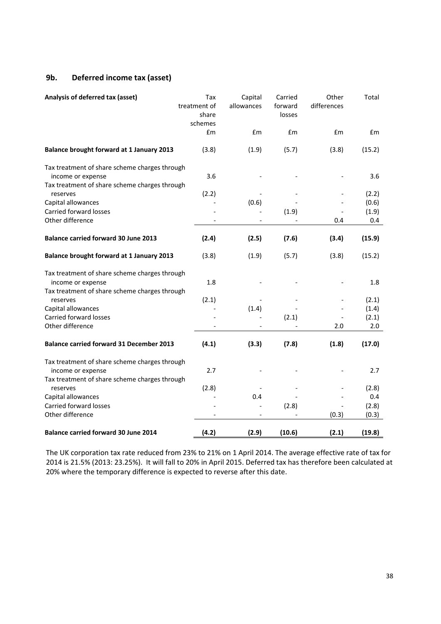## **9b. Deferred income tax (asset)**

| Analysis of deferred tax (asset)                                                                                    | Tax<br>treatment of<br>share<br>schemes | Capital<br>allowances | Carried<br>forward<br>losses | Other<br>differences | Total  |
|---------------------------------------------------------------------------------------------------------------------|-----------------------------------------|-----------------------|------------------------------|----------------------|--------|
|                                                                                                                     | £m                                      | £m                    | £m                           | £m                   | Em     |
| Balance brought forward at 1 January 2013                                                                           | (3.8)                                   | (1.9)                 | (5.7)                        | (3.8)                | (15.2) |
| Tax treatment of share scheme charges through<br>income or expense                                                  | 3.6                                     |                       |                              |                      | 3.6    |
| Tax treatment of share scheme charges through<br>reserves                                                           | (2.2)                                   |                       |                              |                      | (2.2)  |
| Capital allowances                                                                                                  |                                         | (0.6)                 |                              |                      | (0.6)  |
| <b>Carried forward losses</b>                                                                                       |                                         |                       | (1.9)                        |                      | (1.9)  |
| Other difference                                                                                                    |                                         |                       |                              | 0.4                  | 0.4    |
| <b>Balance carried forward 30 June 2013</b>                                                                         | (2.4)                                   | (2.5)                 | (7.6)                        | (3.4)                | (15.9) |
| Balance brought forward at 1 January 2013                                                                           | (3.8)                                   | (1.9)                 | (5.7)                        | (3.8)                | (15.2) |
| Tax treatment of share scheme charges through<br>income or expense<br>Tax treatment of share scheme charges through | 1.8                                     |                       |                              |                      | 1.8    |
| reserves                                                                                                            | (2.1)                                   |                       |                              |                      | (2.1)  |
| Capital allowances                                                                                                  |                                         | (1.4)                 |                              |                      | (1.4)  |
| <b>Carried forward losses</b>                                                                                       |                                         |                       | (2.1)                        |                      | (2.1)  |
| Other difference                                                                                                    |                                         |                       |                              | 2.0                  | 2.0    |
| <b>Balance carried forward 31 December 2013</b>                                                                     | (4.1)                                   | (3.3)                 | (7.8)                        | (1.8)                | (17.0) |
| Tax treatment of share scheme charges through<br>income or expense                                                  | 2.7                                     |                       |                              |                      | 2.7    |
| Tax treatment of share scheme charges through<br>reserves                                                           | (2.8)                                   |                       |                              |                      | (2.8)  |
| Capital allowances                                                                                                  |                                         | 0.4                   |                              |                      | 0.4    |
| Carried forward losses                                                                                              |                                         |                       | (2.8)                        |                      | (2.8)  |
| Other difference                                                                                                    |                                         |                       |                              | (0.3)                | (0.3)  |
| Balance carried forward 30 June 2014                                                                                | (4.2)                                   | (2.9)                 | (10.6)                       | (2.1)                | (19.8) |

The UK corporation tax rate reduced from 23% to 21% on 1 April 2014. The average effective rate of tax for 2014 is 21.5% (2013: 23.25%). It will fall to 20% in April 2015. Deferred tax has therefore been calculated at 20% where the temporary difference is expected to reverse after this date.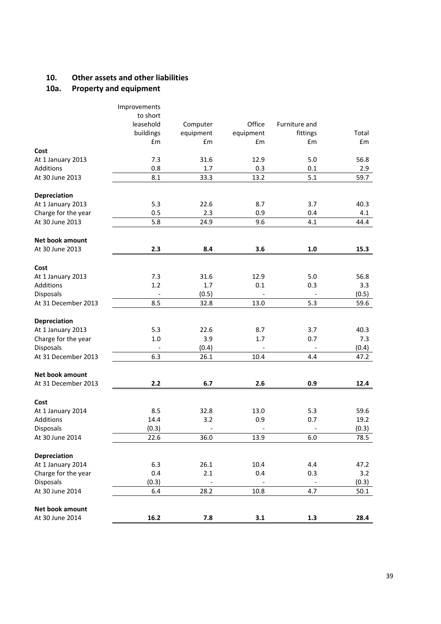## **10. Other assets and other liabilities**

# **10a. Property and equipment**

|                     | Improvements |                              |                              |                          |        |
|---------------------|--------------|------------------------------|------------------------------|--------------------------|--------|
|                     | to short     |                              |                              |                          |        |
|                     | leasehold    | Computer                     | Office                       | Furniture and            |        |
|                     | buildings    | equipment                    | equipment                    | fittings                 | Total  |
|                     | £m           | £m                           | £m                           | £m                       | £m     |
| Cost                |              |                              |                              |                          |        |
| At 1 January 2013   | 7.3          | 31.6                         | 12.9                         | 5.0                      | 56.8   |
| <b>Additions</b>    | 0.8          | 1.7                          | 0.3                          | 0.1                      | 2.9    |
| At 30 June 2013     | 8.1          | 33.3                         | 13.2                         | 5.1                      | 59.7   |
| Depreciation        |              |                              |                              |                          |        |
| At 1 January 2013   | 5.3          | 22.6                         | 8.7                          | 3.7                      | 40.3   |
| Charge for the year | 0.5          | 2.3                          | 0.9                          | 0.4                      | 4.1    |
| At 30 June 2013     | 5.8          | 24.9                         | 9.6                          | 4.1                      | 44.4   |
| Net book amount     |              |                              |                              |                          |        |
| At 30 June 2013     | 2.3          | 8.4                          | 3.6                          | $1.0\,$                  | 15.3   |
| Cost                |              |                              |                              |                          |        |
| At 1 January 2013   | 7.3          | 31.6                         | 12.9                         | 5.0                      | 56.8   |
| <b>Additions</b>    | 1.2          | 1.7                          | 0.1                          | 0.3                      | 3.3    |
| Disposals           |              | (0.5)                        |                              |                          | (0.5)  |
| At 31 December 2013 | 8.5          | 32.8                         | 13.0                         | 5.3                      | 59.6   |
| Depreciation        |              |                              |                              |                          |        |
| At 1 January 2013   | 5.3          | 22.6                         | 8.7                          | 3.7                      | 40.3   |
| Charge for the year | 1.0          | 3.9                          | 1.7                          | 0.7                      | 7.3    |
| Disposals           |              | (0.4)                        |                              |                          | (0.4)  |
| At 31 December 2013 | 6.3          | 26.1                         | 10.4                         | 4.4                      | 47.2   |
| Net book amount     |              |                              |                              |                          |        |
| At 31 December 2013 | 2.2          | 6.7                          | 2.6                          | 0.9                      | 12.4   |
| Cost                |              |                              |                              |                          |        |
| At 1 January 2014   | 8.5          | 32.8                         | 13.0                         | 5.3                      | 59.6   |
| Additions           | 14.4         | 3.2                          | 0.9                          | 0.7                      | 19.2   |
| Disposals           | (0.3)        | $\qquad \qquad \blacksquare$ | $\qquad \qquad \blacksquare$ |                          | (0.3)  |
| At 30 June 2014     | 22.6         | 36.0                         | 13.9                         | $6.0\,$                  | 78.5   |
| <b>Depreciation</b> |              |                              |                              |                          |        |
| At 1 January 2014   | 6.3          | 26.1                         | 10.4                         | 4.4                      | 47.2   |
| Charge for the year | 0.4          | 2.1                          | 0.4                          | 0.3                      | 3.2    |
| Disposals           | (0.3)        |                              |                              | $\overline{\phantom{a}}$ | (0.3)  |
| At 30 June 2014     | 6.4          | 28.2                         | 10.8                         | 4.7                      | $50.1$ |
| Net book amount     |              |                              |                              |                          |        |
| At 30 June 2014     | 16.2         | 7.8                          | 3.1                          | 1.3                      | 28.4   |
|                     |              |                              |                              |                          |        |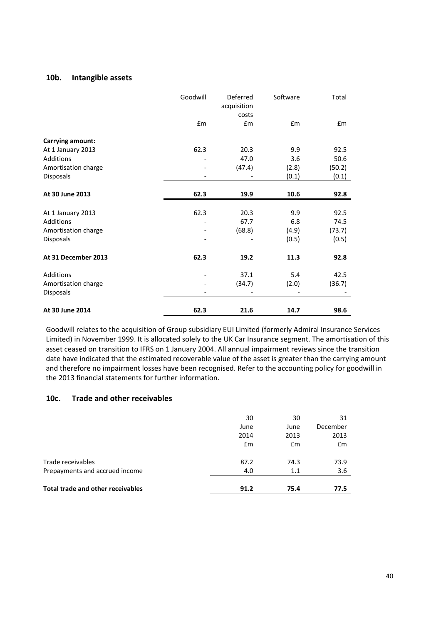## **10b. Intangible assets**

|                         | Goodwill | Deferred<br>acquisition<br>costs | Software      | Total  |
|-------------------------|----------|----------------------------------|---------------|--------|
|                         | £m       | £m                               | $\mathsf{fm}$ | £m     |
| <b>Carrying amount:</b> |          |                                  |               |        |
| At 1 January 2013       | 62.3     | 20.3                             | 9.9           | 92.5   |
| <b>Additions</b>        |          | 47.0                             | 3.6           | 50.6   |
| Amortisation charge     |          | (47.4)                           | (2.8)         | (50.2) |
| Disposals               |          |                                  | (0.1)         | (0.1)  |
|                         |          |                                  |               |        |
| At 30 June 2013         | 62.3     | 19.9                             | 10.6          | 92.8   |
|                         |          |                                  |               |        |
| At 1 January 2013       | 62.3     | 20.3                             | 9.9           | 92.5   |
| Additions               |          | 67.7                             | 6.8           | 74.5   |
| Amortisation charge     |          | (68.8)                           | (4.9)         | (73.7) |
| Disposals               |          |                                  | (0.5)         | (0.5)  |
| At 31 December 2013     | 62.3     | 19.2                             | 11.3          | 92.8   |
|                         |          |                                  |               |        |
| Additions               |          | 37.1                             | 5.4           | 42.5   |
| Amortisation charge     |          | (34.7)                           | (2.0)         | (36.7) |
| Disposals               |          |                                  |               |        |
| At 30 June 2014         | 62.3     | 21.6                             | 14.7          | 98.6   |

Goodwill relates to the acquisition of Group subsidiary EUI Limited (formerly Admiral Insurance Services Limited) in November 1999. It is allocated solely to the UK Car Insurance segment. The amortisation of this asset ceased on transition to IFRS on 1 January 2004. All annual impairment reviews since the transition date have indicated that the estimated recoverable value of the asset is greater than the carrying amount and therefore no impairment losses have been recognised. Refer to the accounting policy for goodwill in the 2013 financial statements for further information.

## **10c. Trade and other receivables**

| <b>Total trade and other receivables</b> | 91.2 | 75.4 | 77.5     |
|------------------------------------------|------|------|----------|
| Prepayments and accrued income           | 4.0  | 1.1  | 3.6      |
| Trade receivables                        | 87.2 | 74.3 | 73.9     |
|                                          | £m   | Em   | £m       |
|                                          | 2014 | 2013 | 2013     |
|                                          | June | June | December |
|                                          | 30   | 30   | 31       |
|                                          |      |      |          |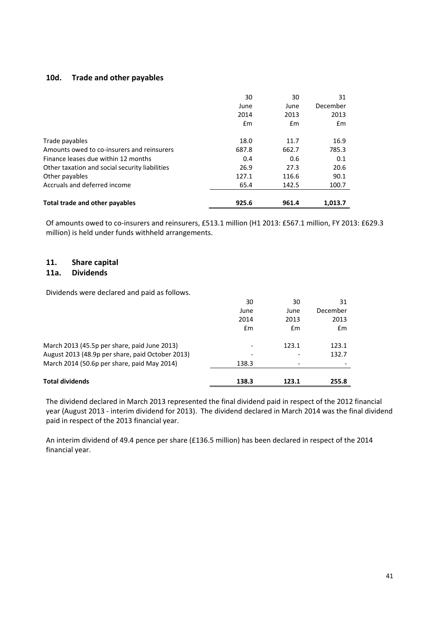## **10d. Trade and other payables**

| Total trade and other payables                 | 925.6 | 961.4 | 1.013.7  |
|------------------------------------------------|-------|-------|----------|
|                                                |       |       |          |
| Accruals and deferred income                   | 65.4  | 142.5 | 100.7    |
| Other payables                                 | 127.1 | 116.6 | 90.1     |
| Other taxation and social security liabilities | 26.9  | 27.3  | 20.6     |
| Finance leases due within 12 months            | 0.4   | 0.6   | 0.1      |
| Amounts owed to co-insurers and reinsurers     | 687.8 | 662.7 | 785.3    |
| Trade payables                                 | 18.0  | 11.7  | 16.9     |
|                                                | £m    | £m    | £m       |
|                                                | 2014  | 2013  | 2013     |
|                                                | June  | June  | December |
|                                                | 30    | 30    | 31       |

Of amounts owed to co-insurers and reinsurers, £513.1 million (H1 2013: £567.1 million, FY 2013: £629.3 million) is held under funds withheld arrangements.

#### **11. Share capital**

#### **11a. Dividends**

Dividends were declared and paid as follows.

| <b>Total dividends</b>                           | 138.3 | 123.1                    | 255.8    |
|--------------------------------------------------|-------|--------------------------|----------|
| March 2014 (50.6p per share, paid May 2014)      | 138.3 | $\overline{\phantom{a}}$ |          |
| August 2013 (48.9p per share, paid October 2013) |       | $\qquad \qquad$          | 132.7    |
| March 2013 (45.5p per share, paid June 2013)     |       | 123.1                    | 123.1    |
|                                                  | £m    | Em                       | Em       |
|                                                  | 2014  | 2013                     | 2013     |
|                                                  | June  | June                     | December |
|                                                  | 30    | 30                       | 31       |
|                                                  |       |                          |          |

The dividend declared in March 2013 represented the final dividend paid in respect of the 2012 financial year (August 2013 - interim dividend for 2013). The dividend declared in March 2014 was the final dividend paid in respect of the 2013 financial year.

An interim dividend of 49.4 pence per share (£136.5 million) has been declared in respect of the 2014 financial year.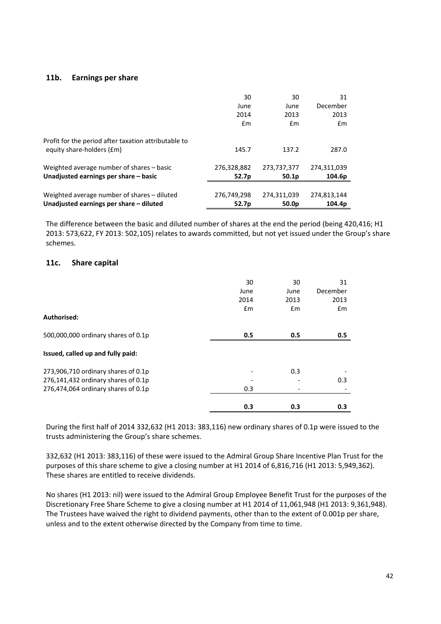#### **11b. Earnings per share**

|                                                      | 30          | 30                | 31          |
|------------------------------------------------------|-------------|-------------------|-------------|
|                                                      | June        | June              | December    |
|                                                      | 2014        | 2013              | 2013        |
|                                                      | Em          | Em                | £m          |
| Profit for the period after taxation attributable to |             |                   |             |
| equity share-holders (£m)                            | 145.7       | 137.2             | 287.0       |
| Weighted average number of shares – basic            | 276,328,882 | 273,737,377       | 274,311,039 |
| Unadjusted earnings per share - basic                | 52.7p       | 50.1 <sub>p</sub> | 104.6p      |
|                                                      |             |                   |             |
| Weighted average number of shares - diluted          | 276,749,298 | 274,311,039       | 274,813,144 |
| Unadjusted earnings per share - diluted              | 52.7p       | 50.0 <sub>p</sub> | 104.4p      |

The difference between the basic and diluted number of shares at the end the period (being 420,416; H1 2013: 573,622, FY 2013: 502,105) relates to awards committed, but not yet issued under the Group's share schemes.

#### **11c. Share capital**

| 30<br>June<br>2014<br>£m | 30<br>June<br>2013<br>$\mathsf{fm}$ | 31<br>December<br>2013<br>$\mathsf{fm}$ |
|--------------------------|-------------------------------------|-----------------------------------------|
|                          |                                     |                                         |
| 0.5                      | 0.5                                 | 0.5                                     |
|                          |                                     |                                         |
|                          | 0.3                                 |                                         |
|                          |                                     | 0.3                                     |
| 0.3                      |                                     |                                         |
| 0.3                      | 0.3                                 | 0.3                                     |
|                          |                                     |                                         |

During the first half of 2014 332,632 (H1 2013: 383,116) new ordinary shares of 0.1p were issued to the trusts administering the Group's share schemes.

332,632 (H1 2013: 383,116) of these were issued to the Admiral Group Share Incentive Plan Trust for the purposes of this share scheme to give a closing number at H1 2014 of 6,816,716 (H1 2013: 5,949,362). These shares are entitled to receive dividends.

No shares (H1 2013: nil) were issued to the Admiral Group Employee Benefit Trust for the purposes of the Discretionary Free Share Scheme to give a closing number at H1 2014 of 11,061,948 (H1 2013: 9,361,948). The Trustees have waived the right to dividend payments, other than to the extent of 0.001p per share, unless and to the extent otherwise directed by the Company from time to time.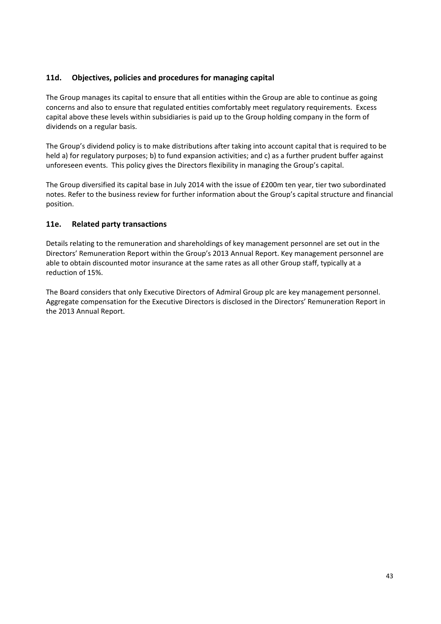## **11d. Objectives, policies and procedures for managing capital**

The Group manages its capital to ensure that all entities within the Group are able to continue as going concerns and also to ensure that regulated entities comfortably meet regulatory requirements. Excess capital above these levels within subsidiaries is paid up to the Group holding company in the form of dividends on a regular basis.

The Group's dividend policy is to make distributions after taking into account capital that is required to be held a) for regulatory purposes; b) to fund expansion activities; and c) as a further prudent buffer against unforeseen events. This policy gives the Directors flexibility in managing the Group's capital.

The Group diversified its capital base in July 2014 with the issue of £200m ten year, tier two subordinated notes. Refer to the business review for further information about the Group's capital structure and financial position.

## **11e. Related party transactions**

Details relating to the remuneration and shareholdings of key management personnel are set out in the Directors' Remuneration Report within the Group's 2013 Annual Report. Key management personnel are able to obtain discounted motor insurance at the same rates as all other Group staff, typically at a reduction of 15%.

The Board considers that only Executive Directors of Admiral Group plc are key management personnel. Aggregate compensation for the Executive Directors is disclosed in the Directors' Remuneration Report in the 2013 Annual Report.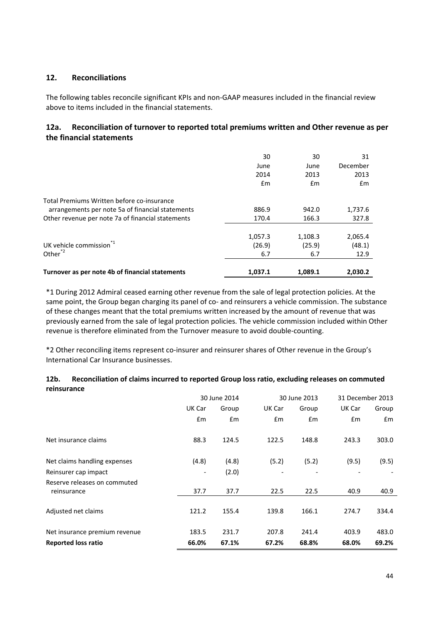## **12. Reconciliations**

The following tables reconcile significant KPIs and non-GAAP measures included in the financial review above to items included in the financial statements.

## **12a. Reconciliation of turnover to reported total premiums written and Other revenue as per the financial statements**

|                                                   | 30<br>June<br>2014<br>£m | 30<br>June<br>2013<br>Em | 31<br>December<br>2013<br>Em |
|---------------------------------------------------|--------------------------|--------------------------|------------------------------|
| Total Premiums Written before co-insurance        |                          |                          |                              |
| arrangements per note 5a of financial statements  | 886.9                    | 942.0                    | 1,737.6                      |
| Other revenue per note 7a of financial statements | 170.4                    | 166.3                    | 327.8                        |
|                                                   | 1,057.3                  | 1,108.3                  | 2,065.4                      |
| UK vehicle commission <sup>1</sup>                | (26.9)                   | (25.9)                   | (48.1)                       |
| Other <sup>*2</sup>                               | 6.7                      | 6.7                      | 12.9                         |
| Turnover as per note 4b of financial statements   | 1,037.1                  | 1,089.1                  | 2,030.2                      |

\*1 During 2012 Admiral ceased earning other revenue from the sale of legal protection policies. At the same point, the Group began charging its panel of co- and reinsurers a vehicle commission. The substance of these changes meant that the total premiums written increased by the amount of revenue that was previously earned from the sale of legal protection policies. The vehicle commission included within Other revenue is therefore eliminated from the Turnover measure to avoid double-counting.

\*2 Other reconciling items represent co-insurer and reinsurer shares of Other revenue in the Group's International Car Insurance businesses.

| 12b.        | Reconciliation of claims incurred to reported Group loss ratio, excluding releases on commuted |
|-------------|------------------------------------------------------------------------------------------------|
| reinsurance |                                                                                                |

|                               | 30 June 2014 |       |        | 30 June 2013 |        | 31 December 2013 |  |
|-------------------------------|--------------|-------|--------|--------------|--------|------------------|--|
|                               | UK Car       | Group | UK Car | Group        | UK Car | Group            |  |
|                               | £m           | Em    | Em     | Em           | Em     | $\mathsf{fm}$    |  |
| Net insurance claims          | 88.3         | 124.5 | 122.5  | 148.8        | 243.3  | 303.0            |  |
| Net claims handling expenses  | (4.8)        | (4.8) | (5.2)  | (5.2)        | (9.5)  | (9.5)            |  |
| Reinsurer cap impact          | -            | (2.0) |        |              |        |                  |  |
| Reserve releases on commuted  |              |       |        |              |        |                  |  |
| reinsurance                   | 37.7         | 37.7  | 22.5   | 22.5         | 40.9   | 40.9             |  |
| Adjusted net claims           | 121.2        | 155.4 | 139.8  | 166.1        | 274.7  | 334.4            |  |
| Net insurance premium revenue | 183.5        | 231.7 | 207.8  | 241.4        | 403.9  | 483.0            |  |
| <b>Reported loss ratio</b>    | 66.0%        | 67.1% | 67.2%  | 68.8%        | 68.0%  | 69.2%            |  |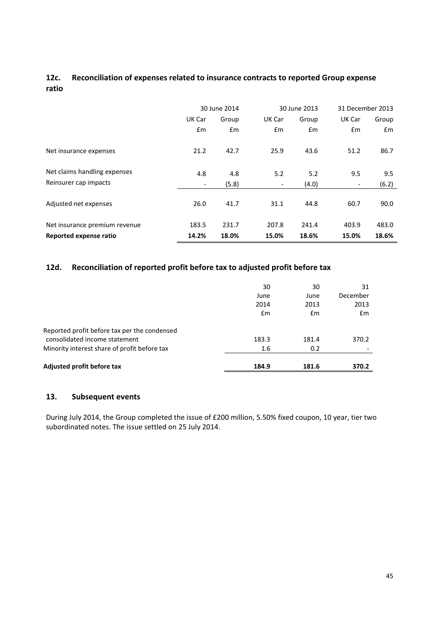## **12c. Reconciliation of expenses related to insurance contracts to reported Group expense ratio**

|                               | 30 June 2014             |       | 30 June 2013             |       | 31 December 2013 |       |
|-------------------------------|--------------------------|-------|--------------------------|-------|------------------|-------|
|                               | UK Car                   | Group | UK Car                   | Group | UK Car           | Group |
|                               | $\mathsf{fm}$            | £m    | Em                       | Em    | Em               | Em    |
| Net insurance expenses        | 21.2                     | 42.7  | 25.9                     | 43.6  | 51.2             | 86.7  |
| Net claims handling expenses  | 4.8                      | 4.8   | 5.2                      | 5.2   | 9.5              | 9.5   |
| Reinsurer cap impacts         | $\overline{\phantom{a}}$ | (5.8) | $\overline{\phantom{a}}$ | (4.0) |                  | (6.2) |
| Adjusted net expenses         | 26.0                     | 41.7  | 31.1                     | 44.8  | 60.7             | 90.0  |
| Net insurance premium revenue | 183.5                    | 231.7 | 207.8                    | 241.4 | 403.9            | 483.0 |
| Reported expense ratio        | 14.2%                    | 18.0% | 15.0%                    | 18.6% | 15.0%            | 18.6% |

## **12d. Reconciliation of reported profit before tax to adjusted profit before tax**

| Adjusted profit before tax                                                    | 184.9              | 181.6              | 370.2                  |
|-------------------------------------------------------------------------------|--------------------|--------------------|------------------------|
| Minority interest share of profit before tax                                  | 1.6                | 0.2                |                        |
| Reported profit before tax per the condensed<br>consolidated income statement | 183.3              | 181.4              | 370.2                  |
|                                                                               | Em                 | £m                 | £m                     |
|                                                                               | 30<br>June<br>2014 | 30<br>June<br>2013 | 31<br>December<br>2013 |
|                                                                               |                    |                    |                        |

## **13. Subsequent events**

During July 2014, the Group completed the issue of £200 million, 5.50% fixed coupon, 10 year, tier two subordinated notes. The issue settled on 25 July 2014.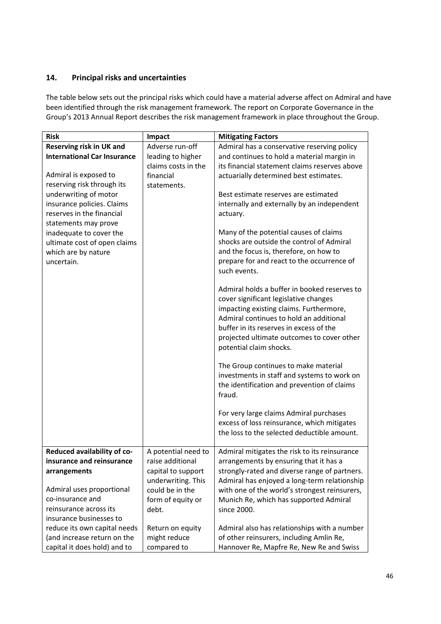## **14. Principal risks and uncertainties**

The table below sets out the principal risks which could have a material adverse affect on Admiral and have been identified through the risk management framework. The report on Corporate Governance in the Group's 2013 Annual Report describes the risk management framework in place throughout the Group.

| <b>Risk</b>                        | Impact              | <b>Mitigating Factors</b>                                                          |
|------------------------------------|---------------------|------------------------------------------------------------------------------------|
| <b>Reserving risk in UK and</b>    | Adverse run-off     | Admiral has a conservative reserving policy                                        |
| <b>International Car Insurance</b> | leading to higher   | and continues to hold a material margin in                                         |
|                                    | claims costs in the | its financial statement claims reserves above                                      |
| Admiral is exposed to              | financial           | actuarially determined best estimates.                                             |
| reserving risk through its         | statements.         |                                                                                    |
| underwriting of motor              |                     | Best estimate reserves are estimated                                               |
| insurance policies. Claims         |                     | internally and externally by an independent                                        |
| reserves in the financial          |                     | actuary.                                                                           |
| statements may prove               |                     |                                                                                    |
| inadequate to cover the            |                     | Many of the potential causes of claims                                             |
| ultimate cost of open claims       |                     | shocks are outside the control of Admiral                                          |
| which are by nature                |                     | and the focus is, therefore, on how to                                             |
| uncertain.                         |                     | prepare for and react to the occurrence of                                         |
|                                    |                     | such events.                                                                       |
|                                    |                     |                                                                                    |
|                                    |                     | Admiral holds a buffer in booked reserves to                                       |
|                                    |                     | cover significant legislative changes                                              |
|                                    |                     | impacting existing claims. Furthermore,<br>Admiral continues to hold an additional |
|                                    |                     | buffer in its reserves in excess of the                                            |
|                                    |                     | projected ultimate outcomes to cover other                                         |
|                                    |                     | potential claim shocks.                                                            |
|                                    |                     |                                                                                    |
|                                    |                     | The Group continues to make material                                               |
|                                    |                     | investments in staff and systems to work on                                        |
|                                    |                     | the identification and prevention of claims                                        |
|                                    |                     | fraud.                                                                             |
|                                    |                     |                                                                                    |
|                                    |                     | For very large claims Admiral purchases                                            |
|                                    |                     | excess of loss reinsurance, which mitigates                                        |
|                                    |                     | the loss to the selected deductible amount.                                        |
| Reduced availability of co-        | A potential need to | Admiral mitigates the risk to its reinsurance                                      |
| insurance and reinsurance          | raise additional    | arrangements by ensuring that it has a                                             |
| arrangements                       | capital to support  | strongly-rated and diverse range of partners.                                      |
|                                    | underwriting. This  | Admiral has enjoyed a long-term relationship                                       |
| Admiral uses proportional          | could be in the     | with one of the world's strongest reinsurers,                                      |
| co-insurance and                   | form of equity or   | Munich Re, which has supported Admiral                                             |
| reinsurance across its             | debt.               | since 2000.                                                                        |
| insurance businesses to            |                     |                                                                                    |
| reduce its own capital needs       | Return on equity    | Admiral also has relationships with a number                                       |
| (and increase return on the        | might reduce        | of other reinsurers, including Amlin Re,                                           |
| capital it does hold) and to       | compared to         | Hannover Re, Mapfre Re, New Re and Swiss                                           |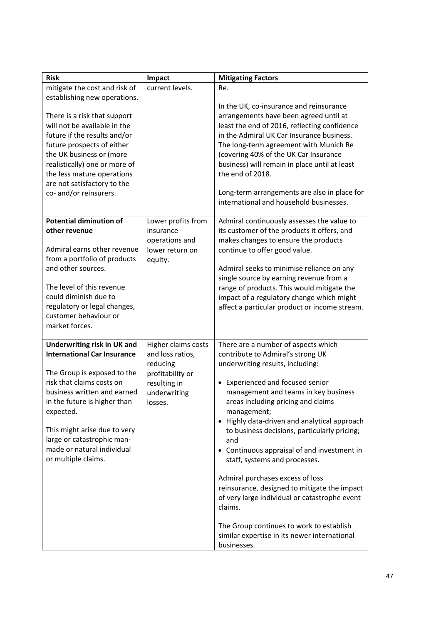| <b>Risk</b>                                                                                                                                                                                                                                                                                                    | Impact                                                                                      | <b>Mitigating Factors</b>                                                                                                                                                                                                                                                                                                                                                                                                                                                                                                                     |
|----------------------------------------------------------------------------------------------------------------------------------------------------------------------------------------------------------------------------------------------------------------------------------------------------------------|---------------------------------------------------------------------------------------------|-----------------------------------------------------------------------------------------------------------------------------------------------------------------------------------------------------------------------------------------------------------------------------------------------------------------------------------------------------------------------------------------------------------------------------------------------------------------------------------------------------------------------------------------------|
| mitigate the cost and risk of                                                                                                                                                                                                                                                                                  | current levels.                                                                             | Re.                                                                                                                                                                                                                                                                                                                                                                                                                                                                                                                                           |
| establishing new operations.<br>There is a risk that support<br>will not be available in the<br>future if the results and/or<br>future prospects of either<br>the UK business or (more<br>realistically) one or more of<br>the less mature operations<br>are not satisfactory to the<br>co- and/or reinsurers. |                                                                                             | In the UK, co-insurance and reinsurance<br>arrangements have been agreed until at<br>least the end of 2016, reflecting confidence<br>in the Admiral UK Car Insurance business.<br>The long-term agreement with Munich Re<br>(covering 40% of the UK Car Insurance<br>business) will remain in place until at least<br>the end of 2018.<br>Long-term arrangements are also in place for<br>international and household businesses.                                                                                                             |
| <b>Potential diminution of</b>                                                                                                                                                                                                                                                                                 | Lower profits from                                                                          | Admiral continuously assesses the value to                                                                                                                                                                                                                                                                                                                                                                                                                                                                                                    |
| other revenue<br>Admiral earns other revenue<br>from a portfolio of products<br>and other sources.<br>The level of this revenue<br>could diminish due to<br>regulatory or legal changes,<br>customer behaviour or<br>market forces.                                                                            | insurance<br>operations and<br>lower return on<br>equity.                                   | its customer of the products it offers, and<br>makes changes to ensure the products<br>continue to offer good value.<br>Admiral seeks to minimise reliance on any<br>single source by earning revenue from a<br>range of products. This would mitigate the<br>impact of a regulatory change which might<br>affect a particular product or income stream.                                                                                                                                                                                      |
| <b>Underwriting risk in UK and</b>                                                                                                                                                                                                                                                                             | Higher claims costs                                                                         | There are a number of aspects which                                                                                                                                                                                                                                                                                                                                                                                                                                                                                                           |
| <b>International Car Insurance</b><br>The Group is exposed to the<br>risk that claims costs on<br>business written and earned<br>in the future is higher than<br>expected.<br>This might arise due to very<br>large or catastrophic man-<br>made or natural individual<br>or multiple claims.                  | and loss ratios,<br>reducing<br>profitability or<br>resulting in<br>underwriting<br>losses. | contribute to Admiral's strong UK<br>underwriting results, including:<br>• Experienced and focused senior<br>management and teams in key business<br>areas including pricing and claims<br>management;<br>• Highly data-driven and analytical approach<br>to business decisions, particularly pricing;<br>and<br>• Continuous appraisal of and investment in<br>staff, systems and processes.<br>Admiral purchases excess of loss<br>reinsurance, designed to mitigate the impact<br>of very large individual or catastrophe event<br>claims. |
|                                                                                                                                                                                                                                                                                                                |                                                                                             | The Group continues to work to establish<br>similar expertise in its newer international<br>businesses.                                                                                                                                                                                                                                                                                                                                                                                                                                       |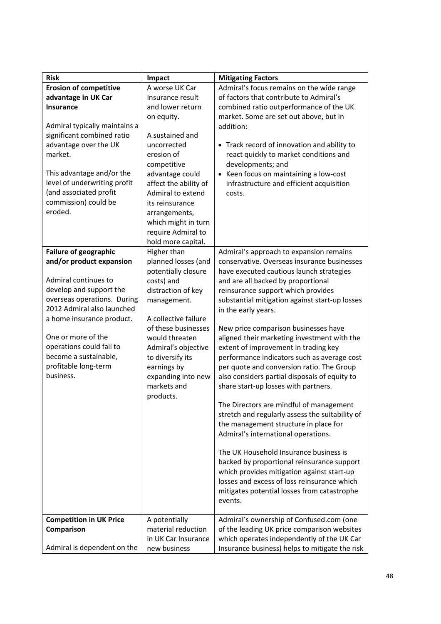| <b>Erosion of competitive</b><br>Admiral's focus remains on the wide range<br>A worse UK Car<br>advantage in UK Car<br>of factors that contribute to Admiral's<br>Insurance result<br>and lower return<br>combined ratio outperformance of the UK<br><b>Insurance</b><br>market. Some are set out above, but in<br>on equity.<br>Admiral typically maintains a<br>addition:<br>significant combined ratio<br>A sustained and<br>advantage over the UK<br>uncorrected<br>• Track record of innovation and ability to<br>market.<br>erosion of<br>react quickly to market conditions and<br>developments; and<br>competitive<br>This advantage and/or the<br>advantage could<br>• Keen focus on maintaining a low-cost<br>level of underwriting profit<br>affect the ability of<br>infrastructure and efficient acquisition<br>(and associated profit<br>Admiral to extend<br>costs.<br>commission) could be<br>its reinsurance<br>eroded.<br>arrangements,<br>which might in turn<br>require Admiral to<br>hold more capital.<br><b>Failure of geographic</b><br>Higher than<br>Admiral's approach to expansion remains<br>planned losses (and<br>and/or product expansion<br>conservative. Overseas insurance businesses<br>potentially closure<br>have executed cautious launch strategies<br>Admiral continues to<br>costs) and<br>and are all backed by proportional<br>develop and support the<br>distraction of key<br>reinsurance support which provides<br>overseas operations. During<br>substantial mitigation against start-up losses<br>management.<br>2012 Admiral also launched<br>in the early years.<br>A collective failure<br>a home insurance product.<br>of these businesses<br>New price comparison businesses have<br>One or more of the<br>would threaten<br>aligned their marketing investment with the<br>operations could fail to<br>Admiral's objective<br>extent of improvement in trading key<br>become a sustainable,<br>to diversify its<br>performance indicators such as average cost<br>profitable long-term<br>earnings by<br>per quote and conversion ratio. The Group<br>business.<br>expanding into new<br>also considers partial disposals of equity to<br>markets and<br>share start-up losses with partners.<br>products.<br>The Directors are mindful of management<br>stretch and regularly assess the suitability of<br>the management structure in place for<br>Admiral's international operations.<br>The UK Household Insurance business is<br>backed by proportional reinsurance support<br>which provides mitigation against start-up<br>losses and excess of loss reinsurance which<br>mitigates potential losses from catastrophe<br>events.<br><b>Competition in UK Price</b><br>Admiral's ownership of Confused.com (one<br>A potentially<br>material reduction<br>of the leading UK price comparison websites<br>Comparison<br>in UK Car Insurance<br>which operates independently of the UK Car | <b>Risk</b>                 | Impact       | <b>Mitigating Factors</b>                      |
|-------------------------------------------------------------------------------------------------------------------------------------------------------------------------------------------------------------------------------------------------------------------------------------------------------------------------------------------------------------------------------------------------------------------------------------------------------------------------------------------------------------------------------------------------------------------------------------------------------------------------------------------------------------------------------------------------------------------------------------------------------------------------------------------------------------------------------------------------------------------------------------------------------------------------------------------------------------------------------------------------------------------------------------------------------------------------------------------------------------------------------------------------------------------------------------------------------------------------------------------------------------------------------------------------------------------------------------------------------------------------------------------------------------------------------------------------------------------------------------------------------------------------------------------------------------------------------------------------------------------------------------------------------------------------------------------------------------------------------------------------------------------------------------------------------------------------------------------------------------------------------------------------------------------------------------------------------------------------------------------------------------------------------------------------------------------------------------------------------------------------------------------------------------------------------------------------------------------------------------------------------------------------------------------------------------------------------------------------------------------------------------------------------------------------------------------------------------------------------------------------------------------------------------------------------------------------------------------------------------------------------------------------------------------------------------------------------------------------------------------------------------------------------------------------------------------------------------------------------------------------------------------------------------------------------------------------------|-----------------------------|--------------|------------------------------------------------|
|                                                                                                                                                                                                                                                                                                                                                                                                                                                                                                                                                                                                                                                                                                                                                                                                                                                                                                                                                                                                                                                                                                                                                                                                                                                                                                                                                                                                                                                                                                                                                                                                                                                                                                                                                                                                                                                                                                                                                                                                                                                                                                                                                                                                                                                                                                                                                                                                                                                                                                                                                                                                                                                                                                                                                                                                                                                                                                                                                       |                             |              |                                                |
|                                                                                                                                                                                                                                                                                                                                                                                                                                                                                                                                                                                                                                                                                                                                                                                                                                                                                                                                                                                                                                                                                                                                                                                                                                                                                                                                                                                                                                                                                                                                                                                                                                                                                                                                                                                                                                                                                                                                                                                                                                                                                                                                                                                                                                                                                                                                                                                                                                                                                                                                                                                                                                                                                                                                                                                                                                                                                                                                                       |                             |              |                                                |
|                                                                                                                                                                                                                                                                                                                                                                                                                                                                                                                                                                                                                                                                                                                                                                                                                                                                                                                                                                                                                                                                                                                                                                                                                                                                                                                                                                                                                                                                                                                                                                                                                                                                                                                                                                                                                                                                                                                                                                                                                                                                                                                                                                                                                                                                                                                                                                                                                                                                                                                                                                                                                                                                                                                                                                                                                                                                                                                                                       |                             |              |                                                |
|                                                                                                                                                                                                                                                                                                                                                                                                                                                                                                                                                                                                                                                                                                                                                                                                                                                                                                                                                                                                                                                                                                                                                                                                                                                                                                                                                                                                                                                                                                                                                                                                                                                                                                                                                                                                                                                                                                                                                                                                                                                                                                                                                                                                                                                                                                                                                                                                                                                                                                                                                                                                                                                                                                                                                                                                                                                                                                                                                       |                             |              |                                                |
|                                                                                                                                                                                                                                                                                                                                                                                                                                                                                                                                                                                                                                                                                                                                                                                                                                                                                                                                                                                                                                                                                                                                                                                                                                                                                                                                                                                                                                                                                                                                                                                                                                                                                                                                                                                                                                                                                                                                                                                                                                                                                                                                                                                                                                                                                                                                                                                                                                                                                                                                                                                                                                                                                                                                                                                                                                                                                                                                                       |                             |              |                                                |
|                                                                                                                                                                                                                                                                                                                                                                                                                                                                                                                                                                                                                                                                                                                                                                                                                                                                                                                                                                                                                                                                                                                                                                                                                                                                                                                                                                                                                                                                                                                                                                                                                                                                                                                                                                                                                                                                                                                                                                                                                                                                                                                                                                                                                                                                                                                                                                                                                                                                                                                                                                                                                                                                                                                                                                                                                                                                                                                                                       |                             |              |                                                |
|                                                                                                                                                                                                                                                                                                                                                                                                                                                                                                                                                                                                                                                                                                                                                                                                                                                                                                                                                                                                                                                                                                                                                                                                                                                                                                                                                                                                                                                                                                                                                                                                                                                                                                                                                                                                                                                                                                                                                                                                                                                                                                                                                                                                                                                                                                                                                                                                                                                                                                                                                                                                                                                                                                                                                                                                                                                                                                                                                       |                             |              |                                                |
|                                                                                                                                                                                                                                                                                                                                                                                                                                                                                                                                                                                                                                                                                                                                                                                                                                                                                                                                                                                                                                                                                                                                                                                                                                                                                                                                                                                                                                                                                                                                                                                                                                                                                                                                                                                                                                                                                                                                                                                                                                                                                                                                                                                                                                                                                                                                                                                                                                                                                                                                                                                                                                                                                                                                                                                                                                                                                                                                                       |                             |              |                                                |
|                                                                                                                                                                                                                                                                                                                                                                                                                                                                                                                                                                                                                                                                                                                                                                                                                                                                                                                                                                                                                                                                                                                                                                                                                                                                                                                                                                                                                                                                                                                                                                                                                                                                                                                                                                                                                                                                                                                                                                                                                                                                                                                                                                                                                                                                                                                                                                                                                                                                                                                                                                                                                                                                                                                                                                                                                                                                                                                                                       |                             |              |                                                |
|                                                                                                                                                                                                                                                                                                                                                                                                                                                                                                                                                                                                                                                                                                                                                                                                                                                                                                                                                                                                                                                                                                                                                                                                                                                                                                                                                                                                                                                                                                                                                                                                                                                                                                                                                                                                                                                                                                                                                                                                                                                                                                                                                                                                                                                                                                                                                                                                                                                                                                                                                                                                                                                                                                                                                                                                                                                                                                                                                       |                             |              |                                                |
|                                                                                                                                                                                                                                                                                                                                                                                                                                                                                                                                                                                                                                                                                                                                                                                                                                                                                                                                                                                                                                                                                                                                                                                                                                                                                                                                                                                                                                                                                                                                                                                                                                                                                                                                                                                                                                                                                                                                                                                                                                                                                                                                                                                                                                                                                                                                                                                                                                                                                                                                                                                                                                                                                                                                                                                                                                                                                                                                                       |                             |              |                                                |
|                                                                                                                                                                                                                                                                                                                                                                                                                                                                                                                                                                                                                                                                                                                                                                                                                                                                                                                                                                                                                                                                                                                                                                                                                                                                                                                                                                                                                                                                                                                                                                                                                                                                                                                                                                                                                                                                                                                                                                                                                                                                                                                                                                                                                                                                                                                                                                                                                                                                                                                                                                                                                                                                                                                                                                                                                                                                                                                                                       |                             |              |                                                |
|                                                                                                                                                                                                                                                                                                                                                                                                                                                                                                                                                                                                                                                                                                                                                                                                                                                                                                                                                                                                                                                                                                                                                                                                                                                                                                                                                                                                                                                                                                                                                                                                                                                                                                                                                                                                                                                                                                                                                                                                                                                                                                                                                                                                                                                                                                                                                                                                                                                                                                                                                                                                                                                                                                                                                                                                                                                                                                                                                       |                             |              |                                                |
|                                                                                                                                                                                                                                                                                                                                                                                                                                                                                                                                                                                                                                                                                                                                                                                                                                                                                                                                                                                                                                                                                                                                                                                                                                                                                                                                                                                                                                                                                                                                                                                                                                                                                                                                                                                                                                                                                                                                                                                                                                                                                                                                                                                                                                                                                                                                                                                                                                                                                                                                                                                                                                                                                                                                                                                                                                                                                                                                                       |                             |              |                                                |
|                                                                                                                                                                                                                                                                                                                                                                                                                                                                                                                                                                                                                                                                                                                                                                                                                                                                                                                                                                                                                                                                                                                                                                                                                                                                                                                                                                                                                                                                                                                                                                                                                                                                                                                                                                                                                                                                                                                                                                                                                                                                                                                                                                                                                                                                                                                                                                                                                                                                                                                                                                                                                                                                                                                                                                                                                                                                                                                                                       |                             |              |                                                |
|                                                                                                                                                                                                                                                                                                                                                                                                                                                                                                                                                                                                                                                                                                                                                                                                                                                                                                                                                                                                                                                                                                                                                                                                                                                                                                                                                                                                                                                                                                                                                                                                                                                                                                                                                                                                                                                                                                                                                                                                                                                                                                                                                                                                                                                                                                                                                                                                                                                                                                                                                                                                                                                                                                                                                                                                                                                                                                                                                       |                             |              |                                                |
|                                                                                                                                                                                                                                                                                                                                                                                                                                                                                                                                                                                                                                                                                                                                                                                                                                                                                                                                                                                                                                                                                                                                                                                                                                                                                                                                                                                                                                                                                                                                                                                                                                                                                                                                                                                                                                                                                                                                                                                                                                                                                                                                                                                                                                                                                                                                                                                                                                                                                                                                                                                                                                                                                                                                                                                                                                                                                                                                                       |                             |              |                                                |
|                                                                                                                                                                                                                                                                                                                                                                                                                                                                                                                                                                                                                                                                                                                                                                                                                                                                                                                                                                                                                                                                                                                                                                                                                                                                                                                                                                                                                                                                                                                                                                                                                                                                                                                                                                                                                                                                                                                                                                                                                                                                                                                                                                                                                                                                                                                                                                                                                                                                                                                                                                                                                                                                                                                                                                                                                                                                                                                                                       |                             |              |                                                |
|                                                                                                                                                                                                                                                                                                                                                                                                                                                                                                                                                                                                                                                                                                                                                                                                                                                                                                                                                                                                                                                                                                                                                                                                                                                                                                                                                                                                                                                                                                                                                                                                                                                                                                                                                                                                                                                                                                                                                                                                                                                                                                                                                                                                                                                                                                                                                                                                                                                                                                                                                                                                                                                                                                                                                                                                                                                                                                                                                       |                             |              |                                                |
|                                                                                                                                                                                                                                                                                                                                                                                                                                                                                                                                                                                                                                                                                                                                                                                                                                                                                                                                                                                                                                                                                                                                                                                                                                                                                                                                                                                                                                                                                                                                                                                                                                                                                                                                                                                                                                                                                                                                                                                                                                                                                                                                                                                                                                                                                                                                                                                                                                                                                                                                                                                                                                                                                                                                                                                                                                                                                                                                                       |                             |              |                                                |
|                                                                                                                                                                                                                                                                                                                                                                                                                                                                                                                                                                                                                                                                                                                                                                                                                                                                                                                                                                                                                                                                                                                                                                                                                                                                                                                                                                                                                                                                                                                                                                                                                                                                                                                                                                                                                                                                                                                                                                                                                                                                                                                                                                                                                                                                                                                                                                                                                                                                                                                                                                                                                                                                                                                                                                                                                                                                                                                                                       |                             |              |                                                |
|                                                                                                                                                                                                                                                                                                                                                                                                                                                                                                                                                                                                                                                                                                                                                                                                                                                                                                                                                                                                                                                                                                                                                                                                                                                                                                                                                                                                                                                                                                                                                                                                                                                                                                                                                                                                                                                                                                                                                                                                                                                                                                                                                                                                                                                                                                                                                                                                                                                                                                                                                                                                                                                                                                                                                                                                                                                                                                                                                       |                             |              |                                                |
|                                                                                                                                                                                                                                                                                                                                                                                                                                                                                                                                                                                                                                                                                                                                                                                                                                                                                                                                                                                                                                                                                                                                                                                                                                                                                                                                                                                                                                                                                                                                                                                                                                                                                                                                                                                                                                                                                                                                                                                                                                                                                                                                                                                                                                                                                                                                                                                                                                                                                                                                                                                                                                                                                                                                                                                                                                                                                                                                                       |                             |              |                                                |
|                                                                                                                                                                                                                                                                                                                                                                                                                                                                                                                                                                                                                                                                                                                                                                                                                                                                                                                                                                                                                                                                                                                                                                                                                                                                                                                                                                                                                                                                                                                                                                                                                                                                                                                                                                                                                                                                                                                                                                                                                                                                                                                                                                                                                                                                                                                                                                                                                                                                                                                                                                                                                                                                                                                                                                                                                                                                                                                                                       |                             |              |                                                |
|                                                                                                                                                                                                                                                                                                                                                                                                                                                                                                                                                                                                                                                                                                                                                                                                                                                                                                                                                                                                                                                                                                                                                                                                                                                                                                                                                                                                                                                                                                                                                                                                                                                                                                                                                                                                                                                                                                                                                                                                                                                                                                                                                                                                                                                                                                                                                                                                                                                                                                                                                                                                                                                                                                                                                                                                                                                                                                                                                       |                             |              |                                                |
|                                                                                                                                                                                                                                                                                                                                                                                                                                                                                                                                                                                                                                                                                                                                                                                                                                                                                                                                                                                                                                                                                                                                                                                                                                                                                                                                                                                                                                                                                                                                                                                                                                                                                                                                                                                                                                                                                                                                                                                                                                                                                                                                                                                                                                                                                                                                                                                                                                                                                                                                                                                                                                                                                                                                                                                                                                                                                                                                                       |                             |              |                                                |
|                                                                                                                                                                                                                                                                                                                                                                                                                                                                                                                                                                                                                                                                                                                                                                                                                                                                                                                                                                                                                                                                                                                                                                                                                                                                                                                                                                                                                                                                                                                                                                                                                                                                                                                                                                                                                                                                                                                                                                                                                                                                                                                                                                                                                                                                                                                                                                                                                                                                                                                                                                                                                                                                                                                                                                                                                                                                                                                                                       |                             |              |                                                |
|                                                                                                                                                                                                                                                                                                                                                                                                                                                                                                                                                                                                                                                                                                                                                                                                                                                                                                                                                                                                                                                                                                                                                                                                                                                                                                                                                                                                                                                                                                                                                                                                                                                                                                                                                                                                                                                                                                                                                                                                                                                                                                                                                                                                                                                                                                                                                                                                                                                                                                                                                                                                                                                                                                                                                                                                                                                                                                                                                       |                             |              |                                                |
|                                                                                                                                                                                                                                                                                                                                                                                                                                                                                                                                                                                                                                                                                                                                                                                                                                                                                                                                                                                                                                                                                                                                                                                                                                                                                                                                                                                                                                                                                                                                                                                                                                                                                                                                                                                                                                                                                                                                                                                                                                                                                                                                                                                                                                                                                                                                                                                                                                                                                                                                                                                                                                                                                                                                                                                                                                                                                                                                                       |                             |              |                                                |
|                                                                                                                                                                                                                                                                                                                                                                                                                                                                                                                                                                                                                                                                                                                                                                                                                                                                                                                                                                                                                                                                                                                                                                                                                                                                                                                                                                                                                                                                                                                                                                                                                                                                                                                                                                                                                                                                                                                                                                                                                                                                                                                                                                                                                                                                                                                                                                                                                                                                                                                                                                                                                                                                                                                                                                                                                                                                                                                                                       |                             |              |                                                |
|                                                                                                                                                                                                                                                                                                                                                                                                                                                                                                                                                                                                                                                                                                                                                                                                                                                                                                                                                                                                                                                                                                                                                                                                                                                                                                                                                                                                                                                                                                                                                                                                                                                                                                                                                                                                                                                                                                                                                                                                                                                                                                                                                                                                                                                                                                                                                                                                                                                                                                                                                                                                                                                                                                                                                                                                                                                                                                                                                       |                             |              |                                                |
|                                                                                                                                                                                                                                                                                                                                                                                                                                                                                                                                                                                                                                                                                                                                                                                                                                                                                                                                                                                                                                                                                                                                                                                                                                                                                                                                                                                                                                                                                                                                                                                                                                                                                                                                                                                                                                                                                                                                                                                                                                                                                                                                                                                                                                                                                                                                                                                                                                                                                                                                                                                                                                                                                                                                                                                                                                                                                                                                                       |                             |              |                                                |
|                                                                                                                                                                                                                                                                                                                                                                                                                                                                                                                                                                                                                                                                                                                                                                                                                                                                                                                                                                                                                                                                                                                                                                                                                                                                                                                                                                                                                                                                                                                                                                                                                                                                                                                                                                                                                                                                                                                                                                                                                                                                                                                                                                                                                                                                                                                                                                                                                                                                                                                                                                                                                                                                                                                                                                                                                                                                                                                                                       |                             |              |                                                |
|                                                                                                                                                                                                                                                                                                                                                                                                                                                                                                                                                                                                                                                                                                                                                                                                                                                                                                                                                                                                                                                                                                                                                                                                                                                                                                                                                                                                                                                                                                                                                                                                                                                                                                                                                                                                                                                                                                                                                                                                                                                                                                                                                                                                                                                                                                                                                                                                                                                                                                                                                                                                                                                                                                                                                                                                                                                                                                                                                       |                             |              |                                                |
|                                                                                                                                                                                                                                                                                                                                                                                                                                                                                                                                                                                                                                                                                                                                                                                                                                                                                                                                                                                                                                                                                                                                                                                                                                                                                                                                                                                                                                                                                                                                                                                                                                                                                                                                                                                                                                                                                                                                                                                                                                                                                                                                                                                                                                                                                                                                                                                                                                                                                                                                                                                                                                                                                                                                                                                                                                                                                                                                                       |                             |              |                                                |
|                                                                                                                                                                                                                                                                                                                                                                                                                                                                                                                                                                                                                                                                                                                                                                                                                                                                                                                                                                                                                                                                                                                                                                                                                                                                                                                                                                                                                                                                                                                                                                                                                                                                                                                                                                                                                                                                                                                                                                                                                                                                                                                                                                                                                                                                                                                                                                                                                                                                                                                                                                                                                                                                                                                                                                                                                                                                                                                                                       |                             |              |                                                |
|                                                                                                                                                                                                                                                                                                                                                                                                                                                                                                                                                                                                                                                                                                                                                                                                                                                                                                                                                                                                                                                                                                                                                                                                                                                                                                                                                                                                                                                                                                                                                                                                                                                                                                                                                                                                                                                                                                                                                                                                                                                                                                                                                                                                                                                                                                                                                                                                                                                                                                                                                                                                                                                                                                                                                                                                                                                                                                                                                       |                             |              |                                                |
|                                                                                                                                                                                                                                                                                                                                                                                                                                                                                                                                                                                                                                                                                                                                                                                                                                                                                                                                                                                                                                                                                                                                                                                                                                                                                                                                                                                                                                                                                                                                                                                                                                                                                                                                                                                                                                                                                                                                                                                                                                                                                                                                                                                                                                                                                                                                                                                                                                                                                                                                                                                                                                                                                                                                                                                                                                                                                                                                                       |                             |              |                                                |
|                                                                                                                                                                                                                                                                                                                                                                                                                                                                                                                                                                                                                                                                                                                                                                                                                                                                                                                                                                                                                                                                                                                                                                                                                                                                                                                                                                                                                                                                                                                                                                                                                                                                                                                                                                                                                                                                                                                                                                                                                                                                                                                                                                                                                                                                                                                                                                                                                                                                                                                                                                                                                                                                                                                                                                                                                                                                                                                                                       |                             |              |                                                |
|                                                                                                                                                                                                                                                                                                                                                                                                                                                                                                                                                                                                                                                                                                                                                                                                                                                                                                                                                                                                                                                                                                                                                                                                                                                                                                                                                                                                                                                                                                                                                                                                                                                                                                                                                                                                                                                                                                                                                                                                                                                                                                                                                                                                                                                                                                                                                                                                                                                                                                                                                                                                                                                                                                                                                                                                                                                                                                                                                       |                             |              |                                                |
|                                                                                                                                                                                                                                                                                                                                                                                                                                                                                                                                                                                                                                                                                                                                                                                                                                                                                                                                                                                                                                                                                                                                                                                                                                                                                                                                                                                                                                                                                                                                                                                                                                                                                                                                                                                                                                                                                                                                                                                                                                                                                                                                                                                                                                                                                                                                                                                                                                                                                                                                                                                                                                                                                                                                                                                                                                                                                                                                                       |                             |              |                                                |
|                                                                                                                                                                                                                                                                                                                                                                                                                                                                                                                                                                                                                                                                                                                                                                                                                                                                                                                                                                                                                                                                                                                                                                                                                                                                                                                                                                                                                                                                                                                                                                                                                                                                                                                                                                                                                                                                                                                                                                                                                                                                                                                                                                                                                                                                                                                                                                                                                                                                                                                                                                                                                                                                                                                                                                                                                                                                                                                                                       |                             |              |                                                |
|                                                                                                                                                                                                                                                                                                                                                                                                                                                                                                                                                                                                                                                                                                                                                                                                                                                                                                                                                                                                                                                                                                                                                                                                                                                                                                                                                                                                                                                                                                                                                                                                                                                                                                                                                                                                                                                                                                                                                                                                                                                                                                                                                                                                                                                                                                                                                                                                                                                                                                                                                                                                                                                                                                                                                                                                                                                                                                                                                       |                             |              |                                                |
|                                                                                                                                                                                                                                                                                                                                                                                                                                                                                                                                                                                                                                                                                                                                                                                                                                                                                                                                                                                                                                                                                                                                                                                                                                                                                                                                                                                                                                                                                                                                                                                                                                                                                                                                                                                                                                                                                                                                                                                                                                                                                                                                                                                                                                                                                                                                                                                                                                                                                                                                                                                                                                                                                                                                                                                                                                                                                                                                                       |                             |              |                                                |
|                                                                                                                                                                                                                                                                                                                                                                                                                                                                                                                                                                                                                                                                                                                                                                                                                                                                                                                                                                                                                                                                                                                                                                                                                                                                                                                                                                                                                                                                                                                                                                                                                                                                                                                                                                                                                                                                                                                                                                                                                                                                                                                                                                                                                                                                                                                                                                                                                                                                                                                                                                                                                                                                                                                                                                                                                                                                                                                                                       |                             |              |                                                |
|                                                                                                                                                                                                                                                                                                                                                                                                                                                                                                                                                                                                                                                                                                                                                                                                                                                                                                                                                                                                                                                                                                                                                                                                                                                                                                                                                                                                                                                                                                                                                                                                                                                                                                                                                                                                                                                                                                                                                                                                                                                                                                                                                                                                                                                                                                                                                                                                                                                                                                                                                                                                                                                                                                                                                                                                                                                                                                                                                       |                             |              |                                                |
|                                                                                                                                                                                                                                                                                                                                                                                                                                                                                                                                                                                                                                                                                                                                                                                                                                                                                                                                                                                                                                                                                                                                                                                                                                                                                                                                                                                                                                                                                                                                                                                                                                                                                                                                                                                                                                                                                                                                                                                                                                                                                                                                                                                                                                                                                                                                                                                                                                                                                                                                                                                                                                                                                                                                                                                                                                                                                                                                                       |                             |              |                                                |
|                                                                                                                                                                                                                                                                                                                                                                                                                                                                                                                                                                                                                                                                                                                                                                                                                                                                                                                                                                                                                                                                                                                                                                                                                                                                                                                                                                                                                                                                                                                                                                                                                                                                                                                                                                                                                                                                                                                                                                                                                                                                                                                                                                                                                                                                                                                                                                                                                                                                                                                                                                                                                                                                                                                                                                                                                                                                                                                                                       | Admiral is dependent on the | new business | Insurance business) helps to mitigate the risk |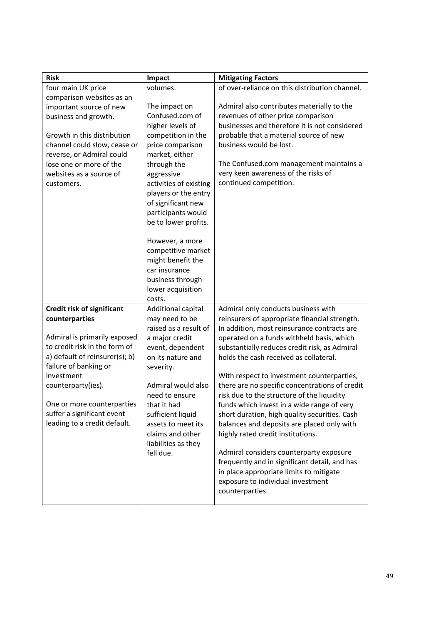| <b>Risk</b>                                                                                                                                                  | Impact                                                                                                                                                                                                                                                                                                                                                  | <b>Mitigating Factors</b>                                                                                                                                                                                                                 |
|--------------------------------------------------------------------------------------------------------------------------------------------------------------|---------------------------------------------------------------------------------------------------------------------------------------------------------------------------------------------------------------------------------------------------------------------------------------------------------------------------------------------------------|-------------------------------------------------------------------------------------------------------------------------------------------------------------------------------------------------------------------------------------------|
| four main UK price                                                                                                                                           | volumes.                                                                                                                                                                                                                                                                                                                                                | of over-reliance on this distribution channel.                                                                                                                                                                                            |
| comparison websites as an                                                                                                                                    |                                                                                                                                                                                                                                                                                                                                                         |                                                                                                                                                                                                                                           |
| important source of new                                                                                                                                      | The impact on                                                                                                                                                                                                                                                                                                                                           | Admiral also contributes materially to the                                                                                                                                                                                                |
| business and growth.                                                                                                                                         | Confused.com of                                                                                                                                                                                                                                                                                                                                         | revenues of other price comparison                                                                                                                                                                                                        |
| Growth in this distribution<br>channel could slow, cease or<br>reverse, or Admiral could<br>lose one or more of the<br>websites as a source of<br>customers. | higher levels of<br>competition in the<br>price comparison<br>market, either<br>through the<br>aggressive<br>activities of existing<br>players or the entry<br>of significant new<br>participants would<br>be to lower profits.<br>However, a more<br>competitive market<br>might benefit the<br>car insurance<br>business through<br>lower acquisition | businesses and therefore it is not considered<br>probable that a material source of new<br>business would be lost.<br>The Confused.com management maintains a<br>very keen awareness of the risks of<br>continued competition.            |
| <b>Credit risk of significant</b>                                                                                                                            | costs.<br>Additional capital                                                                                                                                                                                                                                                                                                                            | Admiral only conducts business with                                                                                                                                                                                                       |
| counterparties<br>Admiral is primarily exposed<br>to credit risk in the form of<br>a) default of reinsurer(s); b)                                            | may need to be<br>raised as a result of<br>a major credit<br>event, dependent<br>on its nature and                                                                                                                                                                                                                                                      | reinsurers of appropriate financial strength.<br>In addition, most reinsurance contracts are<br>operated on a funds withheld basis, which<br>substantially reduces credit risk, as Admiral<br>holds the cash received as collateral.      |
| failure of banking or                                                                                                                                        | severity.                                                                                                                                                                                                                                                                                                                                               |                                                                                                                                                                                                                                           |
| investment<br>counterparty(ies).<br>One or more counterparties<br>suffer a significant event                                                                 | Admiral would also<br>need to ensure<br>that it had<br>sufficient liquid                                                                                                                                                                                                                                                                                | With respect to investment counterparties,<br>there are no specific concentrations of credit<br>risk due to the structure of the liquidity<br>funds which invest in a wide range of very<br>short duration, high quality securities. Cash |
| leading to a credit default.                                                                                                                                 | assets to meet its<br>claims and other<br>liabilities as they                                                                                                                                                                                                                                                                                           | balances and deposits are placed only with<br>highly rated credit institutions.                                                                                                                                                           |
|                                                                                                                                                              | fell due.                                                                                                                                                                                                                                                                                                                                               | Admiral considers counterparty exposure<br>frequently and in significant detail, and has<br>in place appropriate limits to mitigate<br>exposure to individual investment<br>counterparties.                                               |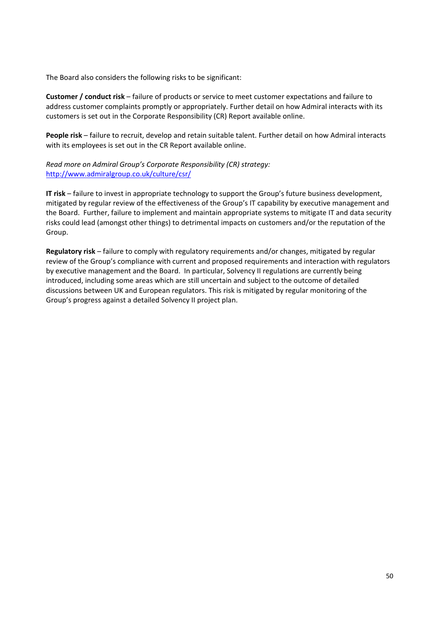The Board also considers the following risks to be significant:

**Customer / conduct risk** – failure of products or service to meet customer expectations and failure to address customer complaints promptly or appropriately. Further detail on how Admiral interacts with its customers is set out in the Corporate Responsibility (CR) Report available online.

**People risk** – failure to recruit, develop and retain suitable talent. Further detail on how Admiral interacts with its employees is set out in the CR Report available online.

*Read more on Admiral Group's Corporate Responsibility (CR) strategy:*  http://www.admiralgroup.co.uk/culture/csr/

**IT risk** – failure to invest in appropriate technology to support the Group's future business development, mitigated by regular review of the effectiveness of the Group's IT capability by executive management and the Board. Further, failure to implement and maintain appropriate systems to mitigate IT and data security risks could lead (amongst other things) to detrimental impacts on customers and/or the reputation of the Group.

**Regulatory risk** – failure to comply with regulatory requirements and/or changes, mitigated by regular review of the Group's compliance with current and proposed requirements and interaction with regulators by executive management and the Board. In particular, Solvency II regulations are currently being introduced, including some areas which are still uncertain and subject to the outcome of detailed discussions between UK and European regulators. This risk is mitigated by regular monitoring of the Group's progress against a detailed Solvency II project plan.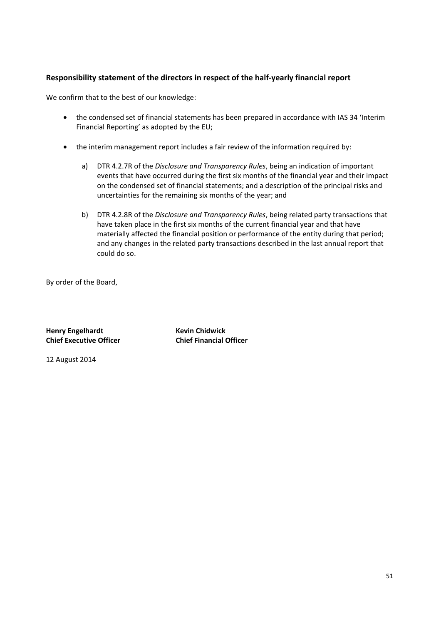## **Responsibility statement of the directors in respect of the half-yearly financial report**

We confirm that to the best of our knowledge:

- the condensed set of financial statements has been prepared in accordance with IAS 34 'Interim Financial Reporting' as adopted by the EU;
- the interim management report includes a fair review of the information required by:
	- a) DTR 4.2.7R of the *Disclosure and Transparency Rules*, being an indication of important events that have occurred during the first six months of the financial year and their impact on the condensed set of financial statements; and a description of the principal risks and uncertainties for the remaining six months of the year; and
	- b) DTR 4.2.8R of the *Disclosure and Transparency Rules*, being related party transactions that have taken place in the first six months of the current financial year and that have materially affected the financial position or performance of the entity during that period; and any changes in the related party transactions described in the last annual report that could do so.

By order of the Board,

**Henry Engelhardt Kevin Chidwick Chief Executive Officer Chief Financial Officer** 

12 August 2014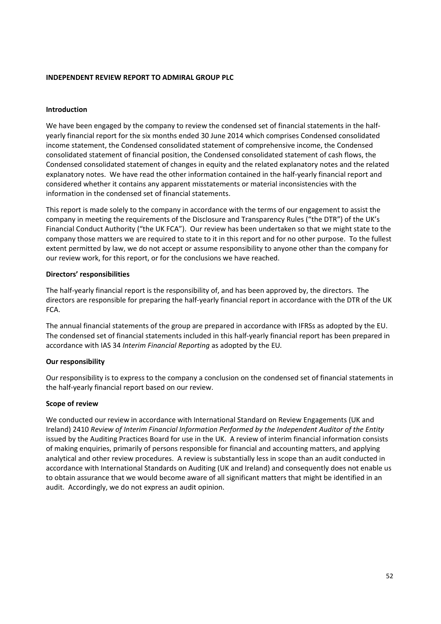#### **INDEPENDENT REVIEW REPORT TO ADMIRAL GROUP PLC**

#### **Introduction**

We have been engaged by the company to review the condensed set of financial statements in the halfyearly financial report for the six months ended 30 June 2014 which comprises Condensed consolidated income statement, the Condensed consolidated statement of comprehensive income, the Condensed consolidated statement of financial position, the Condensed consolidated statement of cash flows, the Condensed consolidated statement of changes in equity and the related explanatory notes and the related explanatory notes. We have read the other information contained in the half-yearly financial report and considered whether it contains any apparent misstatements or material inconsistencies with the information in the condensed set of financial statements.

This report is made solely to the company in accordance with the terms of our engagement to assist the company in meeting the requirements of the Disclosure and Transparency Rules ("the DTR") of the UK's Financial Conduct Authority ("the UK FCA"). Our review has been undertaken so that we might state to the company those matters we are required to state to it in this report and for no other purpose. To the fullest extent permitted by law, we do not accept or assume responsibility to anyone other than the company for our review work, for this report, or for the conclusions we have reached.

#### **Directors' responsibilities**

The half-yearly financial report is the responsibility of, and has been approved by, the directors. The directors are responsible for preparing the half-yearly financial report in accordance with the DTR of the UK FCA.

The annual financial statements of the group are prepared in accordance with IFRSs as adopted by the EU. The condensed set of financial statements included in this half-yearly financial report has been prepared in accordance with IAS 34 *Interim Financial Reporting* as adopted by the EU*.* 

#### **Our responsibility**

Our responsibility is to express to the company a conclusion on the condensed set of financial statements in the half-yearly financial report based on our review.

#### **Scope of review**

We conducted our review in accordance with International Standard on Review Engagements (UK and Ireland) 2410 *Review of Interim Financial Information Performed by the Independent Auditor of the Entity*  issued by the Auditing Practices Board for use in the UK. A review of interim financial information consists of making enquiries, primarily of persons responsible for financial and accounting matters, and applying analytical and other review procedures. A review is substantially less in scope than an audit conducted in accordance with International Standards on Auditing (UK and Ireland) and consequently does not enable us to obtain assurance that we would become aware of all significant matters that might be identified in an audit. Accordingly, we do not express an audit opinion.